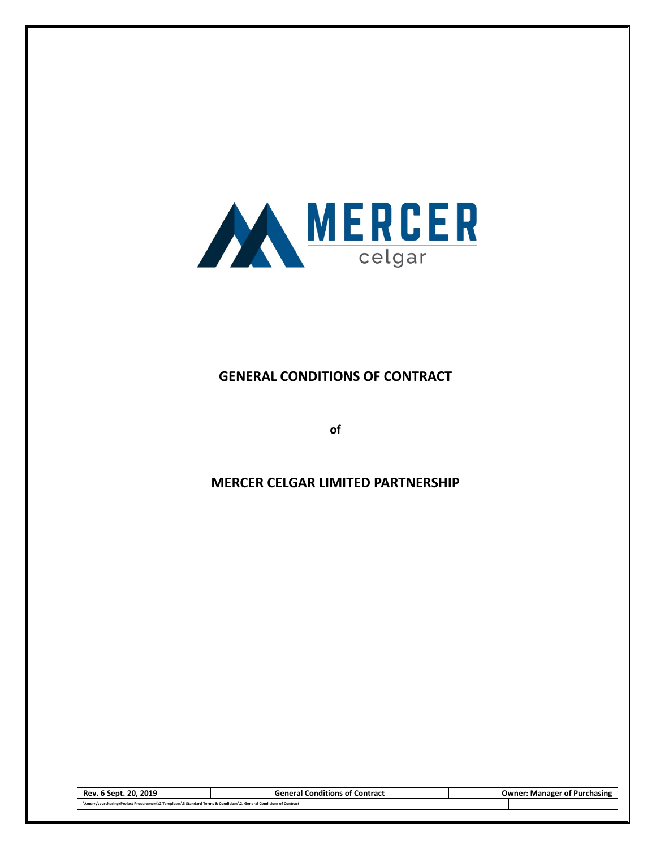

# **GENERAL CONDITIONS OF CONTRACT**

**of**

# **MERCER CELGAR LIMITED PARTNERSHIP**

| . 20. 2019<br>Rev. 6 Sept.                                                                                         | <b>General Conditions of Contract</b> | <b>Owner: Manager of Purchasing</b> |
|--------------------------------------------------------------------------------------------------------------------|---------------------------------------|-------------------------------------|
| \\merry\purchasing\Project Procurement\2 Templates\3 Standard Terms & Conditions\2. General Conditions of Contract |                                       |                                     |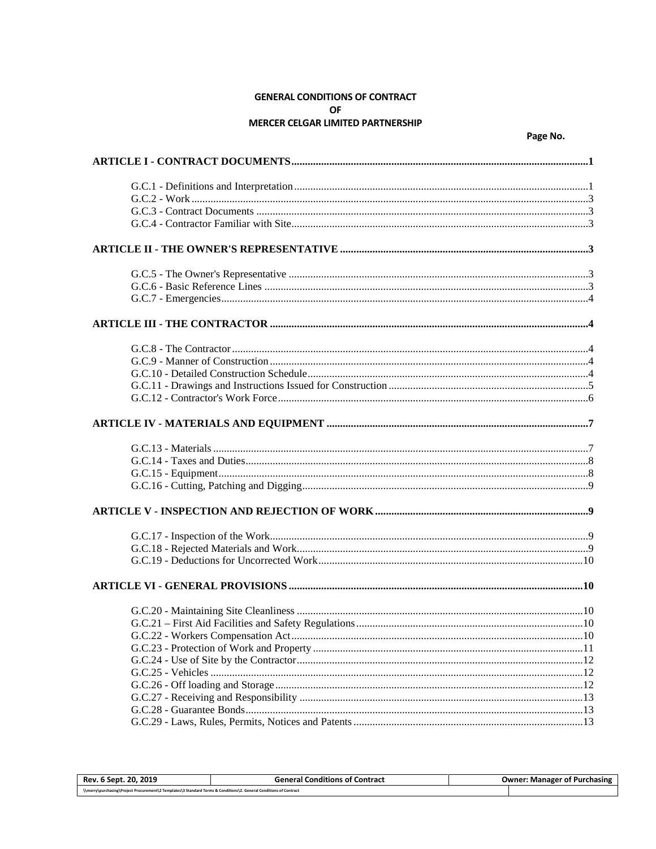# **GENERAL CONDITIONS OF CONTRACT** OF MERCER CELGAR LIMITED PARTNERSHIP

Page No.

| Rev. 6 Sept. 20, 2019                                                                                              | <b>General Conditions of Contract</b> | <b>Owner: Manager of Purchasing</b> |
|--------------------------------------------------------------------------------------------------------------------|---------------------------------------|-------------------------------------|
| \\merry\purchasing\Project Procurement\2 Templates\3 Standard Terms & Conditions\2. General Conditions of Contract |                                       |                                     |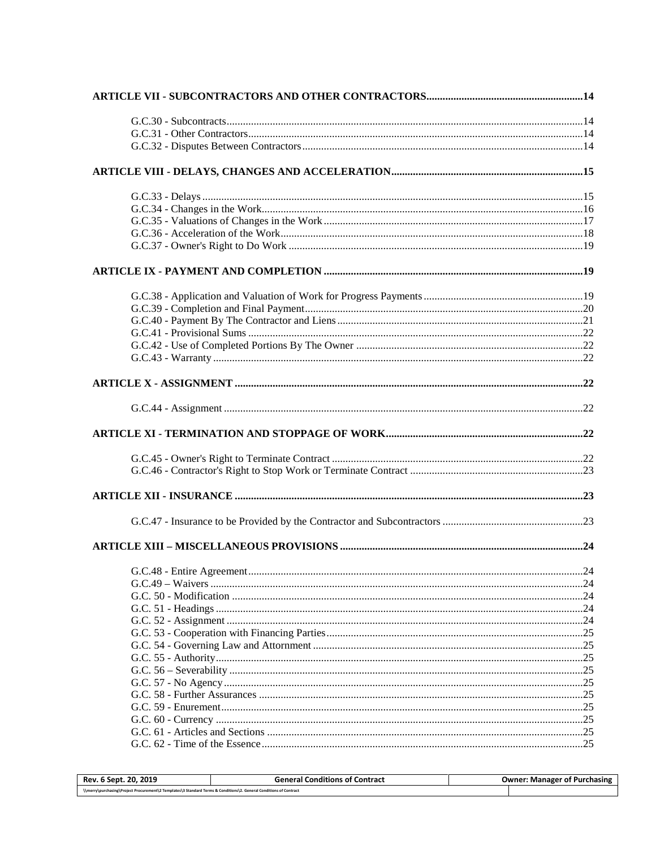| Rev. 6 Sept. 20, 2019 | <b>General Conditions of Contract</b> | <b>Owner: Manager of Purchasing</b> |
|-----------------------|---------------------------------------|-------------------------------------|
|                       |                                       |                                     |
|                       |                                       |                                     |
|                       |                                       |                                     |
|                       |                                       |                                     |
|                       |                                       |                                     |
|                       |                                       |                                     |
|                       |                                       |                                     |
|                       |                                       |                                     |
|                       |                                       |                                     |
|                       |                                       |                                     |
|                       |                                       |                                     |
|                       |                                       |                                     |
|                       |                                       |                                     |
|                       |                                       |                                     |
|                       |                                       |                                     |
|                       |                                       |                                     |
|                       |                                       |                                     |
|                       |                                       |                                     |
|                       |                                       |                                     |
|                       |                                       |                                     |
|                       |                                       |                                     |
|                       |                                       |                                     |
|                       |                                       |                                     |
|                       |                                       |                                     |
|                       |                                       |                                     |
|                       |                                       |                                     |
|                       |                                       |                                     |
|                       |                                       |                                     |
|                       |                                       |                                     |
|                       |                                       |                                     |
|                       |                                       |                                     |
|                       |                                       |                                     |
|                       |                                       |                                     |
|                       |                                       |                                     |
|                       |                                       |                                     |
|                       |                                       |                                     |
|                       |                                       |                                     |
|                       |                                       |                                     |
|                       |                                       |                                     |
|                       |                                       |                                     |
|                       |                                       |                                     |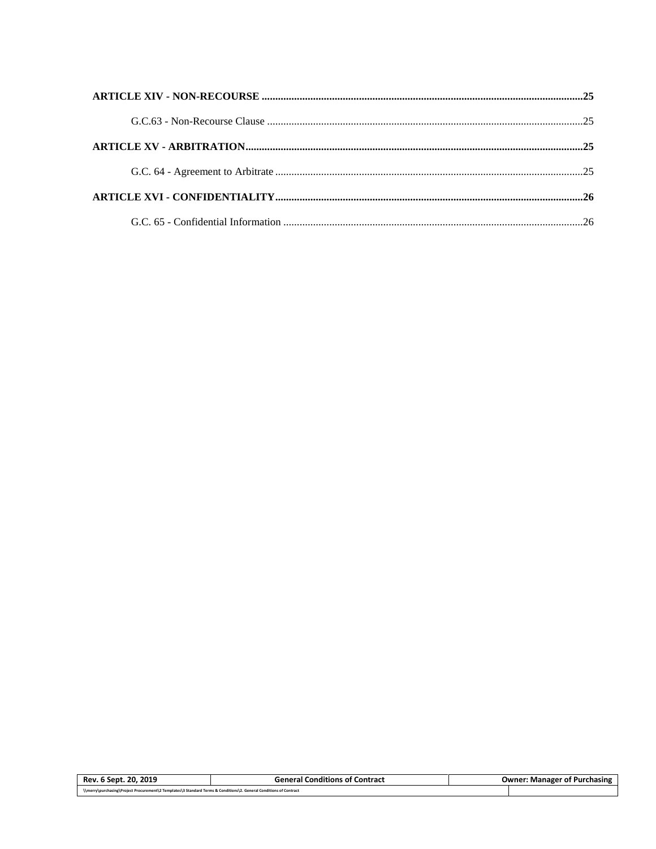| t. 20. 2019<br>Rev.<br>6 Sept.                                                                                     | <b>General Conditions of Contract</b> | <b>Owner: Manager of Purchasing</b> |
|--------------------------------------------------------------------------------------------------------------------|---------------------------------------|-------------------------------------|
| \\merry\purchasing\Project Procurement\2 Templates\3 Standard Terms & Conditions\2. General Conditions of Contract |                                       |                                     |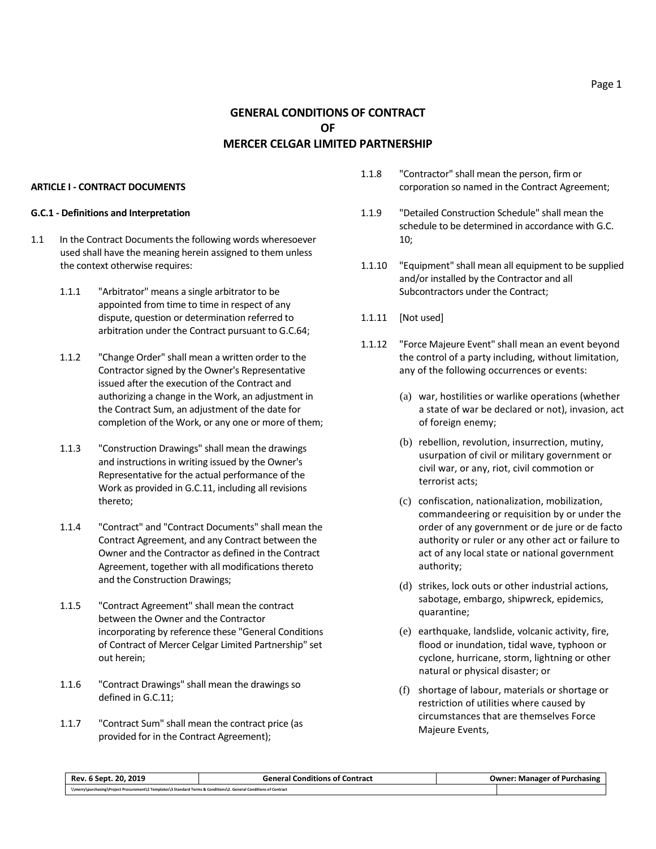#### <span id="page-4-0"></span>**ARTICLE I - CONTRACT DOCUMENTS**

#### <span id="page-4-1"></span>**G.C.1 - Definitions and Interpretation**

- 1.1 In the Contract Documents the following words wheresoever used shall have the meaning herein assigned to them unless the context otherwise requires:
	- 1.1.1 "Arbitrator" means a single arbitrator to be appointed from time to time in respect of any dispute, question or determination referred to arbitration under the Contract pursuant to G.C.64;
	- 1.1.2 "Change Order" shall mean a written order to the Contractor signed by the Owner's Representative issued after the execution of the Contract and authorizing a change in the Work, an adjustment in the Contract Sum, an adjustment of the date for completion of the Work, or any one or more of them;
	- 1.1.3 "Construction Drawings" shall mean the drawings and instructions in writing issued by the Owner's Representative for the actual performance of the Work as provided in G.C.11, including all revisions thereto;
	- 1.1.4 "Contract" and "Contract Documents" shall mean the Contract Agreement, and any Contract between the Owner and the Contractor as defined in the Contract Agreement, together with all modifications thereto and the Construction Drawings;
	- 1.1.5 "Contract Agreement" shall mean the contract between the Owner and the Contractor incorporating by reference these "General Conditions of Contract of Mercer Celgar Limited Partnership" set out herein;
	- 1.1.6 "Contract Drawings" shall mean the drawings so defined in G.C.11;
	- 1.1.7 "Contract Sum" shall mean the contract price (as provided for in the Contract Agreement);
- 1.1.8 "Contractor" shall mean the person, firm or corporation so named in the Contract Agreement;
- 1.1.9 "Detailed Construction Schedule" shall mean the schedule to be determined in accordance with G.C. 10;
- 1.1.10 "Equipment" shall mean all equipment to be supplied and/or installed by the Contractor and all Subcontractors under the Contract;
- 1.1.11 [Not used]
- 1.1.12 "Force Majeure Event" shall mean an event beyond the control of a party including, without limitation, any of the following occurrences or events:
	- (a) war, hostilities or warlike operations (whether a state of war be declared or not), invasion, act of foreign enemy;
	- (b) rebellion, revolution, insurrection, mutiny, usurpation of civil or military government or civil war, or any, riot, civil commotion or terrorist acts;
	- (c) confiscation, nationalization, mobilization, commandeering or requisition by or under the order of any government or de jure or de facto authority or ruler or any other act or failure to act of any local state or national government authority;
	- (d) strikes, lock outs or other industrial actions, sabotage, embargo, shipwreck, epidemics, quarantine;
	- (e) earthquake, landslide, volcanic activity, fire, flood or inundation, tidal wave, typhoon or cyclone, hurricane, storm, lightning or other natural or physical disaster; or
	- (f) shortage of labour, materials or shortage or restriction of utilities where caused by circumstances that are themselves Force Majeure Events,

| Rev. 6 Sept. 20. 2019                                                                                              | <b>General Conditions of Contract</b> | <b>Owner: Manager of Purchasing</b> |
|--------------------------------------------------------------------------------------------------------------------|---------------------------------------|-------------------------------------|
| \\merry\purchasing\Project Procurement\2 Templates\3 Standard Terms & Conditions\2. General Conditions of Contract |                                       |                                     |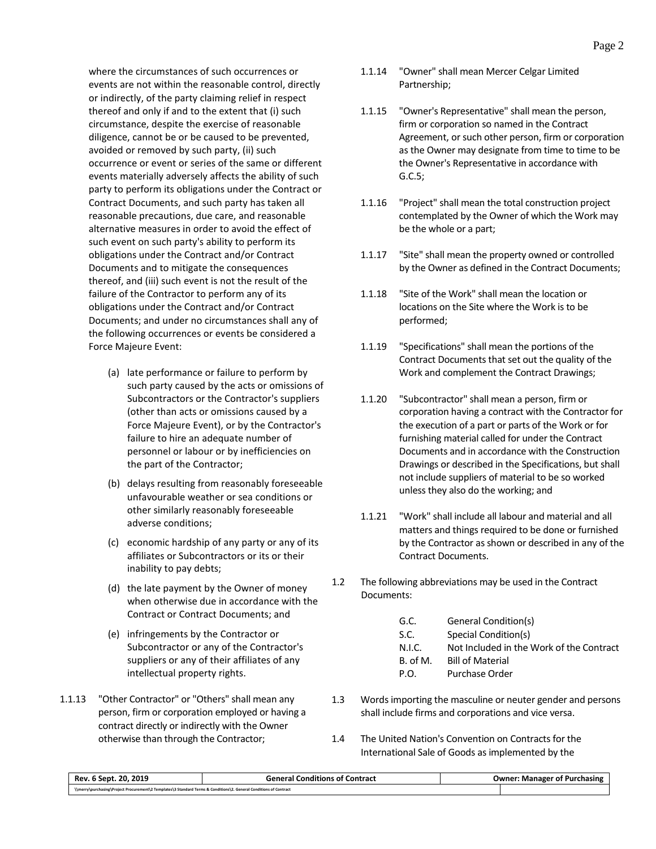where the circumstances of such occurrences or events are not within the reasonable control, directly or indirectly, of the party claiming relief in respect thereof and only if and to the extent that (i) such circumstance, despite the exercise of reasonable diligence, cannot be or be caused to be prevented, avoided or removed by such party, (ii) such occurrence or event or series of the same or different events materially adversely affects the ability of such party to perform its obligations under the Contract or Contract Documents, and such party has taken all reasonable precautions, due care, and reasonable alternative measures in order to avoid the effect of such event on such party's ability to perform its obligations under the Contract and/or Contract Documents and to mitigate the consequences thereof, and (iii) such event is not the result of the failure of the Contractor to perform any of its obligations under the Contract and/or Contract Documents; and under no circumstances shall any of the following occurrences or events be considered a Force Majeure Event:

- (a) late performance or failure to perform by such party caused by the acts or omissions of Subcontractors or the Contractor's suppliers (other than acts or omissions caused by a Force Majeure Event), or by the Contractor's failure to hire an adequate number of personnel or labour or by inefficiencies on the part of the Contractor;
- (b) delays resulting from reasonably foreseeable unfavourable weather or sea conditions or other similarly reasonably foreseeable adverse conditions;
- (c) economic hardship of any party or any of its affiliates or Subcontractors or its or their inability to pay debts;
- (d) the late payment by the Owner of money when otherwise due in accordance with the Contract or Contract Documents; and
- (e) infringements by the Contractor or Subcontractor or any of the Contractor's suppliers or any of their affiliates of any intellectual property rights.
- 1.1.13 "Other Contractor" or "Others" shall mean any person, firm or corporation employed or having a contract directly or indirectly with the Owner otherwise than through the Contractor;
- 1.1.14 "Owner" shall mean Mercer Celgar Limited Partnership;
- 1.1.15 "Owner's Representative" shall mean the person, firm or corporation so named in the Contract Agreement, or such other person, firm or corporation as the Owner may designate from time to time to be the Owner's Representative in accordance with G.C.5;
- 1.1.16 "Project" shall mean the total construction project contemplated by the Owner of which the Work may be the whole or a part;
- 1.1.17 "Site" shall mean the property owned or controlled by the Owner as defined in the Contract Documents;
- 1.1.18 "Site of the Work" shall mean the location or locations on the Site where the Work is to be performed;
- 1.1.19 "Specifications" shall mean the portions of the Contract Documents that set out the quality of the Work and complement the Contract Drawings;
- 1.1.20 "Subcontractor" shall mean a person, firm or corporation having a contract with the Contractor for the execution of a part or parts of the Work or for furnishing material called for under the Contract Documents and in accordance with the Construction Drawings or described in the Specifications, but shall not include suppliers of material to be so worked unless they also do the working; and
- 1.1.21 "Work" shall include all labour and material and all matters and things required to be done or furnished by the Contractor as shown or described in any of the Contract Documents.
- 1.2 The following abbreviations may be used in the Contract Documents:

| G.C.     | General Condition(s)                     |
|----------|------------------------------------------|
| S.C.     | Special Condition(s)                     |
| N.I.C.   | Not Included in the Work of the Contract |
| B. of M. | <b>Bill of Material</b>                  |
| P.O.     | Purchase Order                           |

- 1.3 Words importing the masculine or neuter gender and persons shall include firms and corporations and vice versa.
- 1.4 The United Nation's Convention on Contracts for the International Sale of Goods as implemented by the

| Rev. 6 Sept. 20. 2019                                                                                              | <b>General Conditions of Contract</b> | <b>Owner: Manager of Purchasing</b> |
|--------------------------------------------------------------------------------------------------------------------|---------------------------------------|-------------------------------------|
| \\merry\purchasing\Project Procurement\2 Templates\3 Standard Terms & Conditions\2. General Conditions of Contract |                                       |                                     |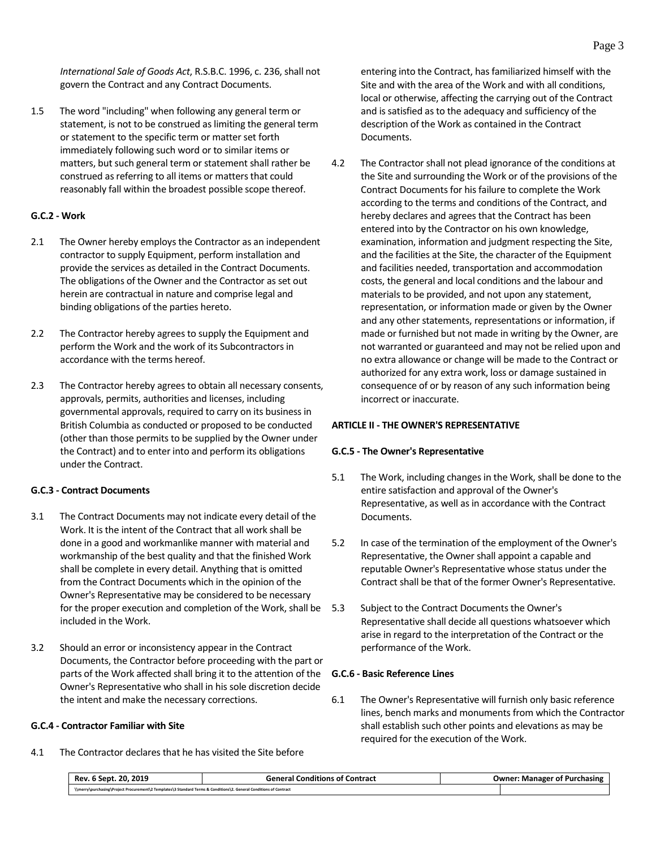*International Sale of Goods Act*, R.S.B.C. 1996, c. 236, shall not govern the Contract and any Contract Documents.

1.5 The word "including" when following any general term or statement, is not to be construed as limiting the general term or statement to the specific term or matter set forth immediately following such word or to similar items or matters, but such general term or statement shall rather be construed as referring to all items or matters that could reasonably fall within the broadest possible scope thereof.

#### <span id="page-6-0"></span>**G.C.2 - Work**

- 2.1 The Owner hereby employs the Contractor as an independent contractor to supply Equipment, perform installation and provide the services as detailed in the Contract Documents. The obligations of the Owner and the Contractor as set out herein are contractual in nature and comprise legal and binding obligations of the parties hereto.
- 2.2 The Contractor hereby agrees to supply the Equipment and perform the Work and the work of its Subcontractors in accordance with the terms hereof.
- 2.3 The Contractor hereby agrees to obtain all necessary consents, approvals, permits, authorities and licenses, including governmental approvals, required to carry on its business in British Columbia as conducted or proposed to be conducted (other than those permits to be supplied by the Owner under the Contract) and to enter into and perform its obligations under the Contract.

# <span id="page-6-1"></span>**G.C.3 - Contract Documents**

- 3.1 The Contract Documents may not indicate every detail of the Work. It is the intent of the Contract that all work shall be done in a good and workmanlike manner with material and workmanship of the best quality and that the finished Work shall be complete in every detail. Anything that is omitted from the Contract Documents which in the opinion of the Owner's Representative may be considered to be necessary for the proper execution and completion of the Work, shall be included in the Work.
- 3.2 Should an error or inconsistency appear in the Contract Documents, the Contractor before proceeding with the part or parts of the Work affected shall bring it to the attention of the Owner's Representative who shall in his sole discretion decide the intent and make the necessary corrections.

# <span id="page-6-2"></span>**G.C.4 - Contractor Familiar with Site**

4.1 The Contractor declares that he has visited the Site before

entering into the Contract, has familiarized himself with the Site and with the area of the Work and with all conditions, local or otherwise, affecting the carrying out of the Contract and is satisfied as to the adequacy and sufficiency of the description of the Work as contained in the Contract Documents.

4.2 The Contractor shall not plead ignorance of the conditions at the Site and surrounding the Work or of the provisions of the Contract Documents for his failure to complete the Work according to the terms and conditions of the Contract, and hereby declares and agrees that the Contract has been entered into by the Contractor on his own knowledge, examination, information and judgment respecting the Site, and the facilities at the Site, the character of the Equipment and facilities needed, transportation and accommodation costs, the general and local conditions and the labour and materials to be provided, and not upon any statement, representation, or information made or given by the Owner and any other statements, representations or information, if made or furnished but not made in writing by the Owner, are not warranted or guaranteed and may not be relied upon and no extra allowance or change will be made to the Contract or authorized for any extra work, loss or damage sustained in consequence of or by reason of any such information being incorrect or inaccurate.

#### <span id="page-6-3"></span>**ARTICLE II - THE OWNER'S REPRESENTATIVE**

#### <span id="page-6-4"></span>**G.C.5 - The Owner's Representative**

- 5.1 The Work, including changes in the Work, shall be done to the entire satisfaction and approval of the Owner's Representative, as well as in accordance with the Contract Documents.
- 5.2 In case of the termination of the employment of the Owner's Representative, the Owner shall appoint a capable and reputable Owner's Representative whose status under the Contract shall be that of the former Owner's Representative.
- Subject to the Contract Documents the Owner's Representative shall decide all questions whatsoever which arise in regard to the interpretation of the Contract or the performance of the Work.

#### <span id="page-6-5"></span>**G.C.6 - Basic Reference Lines**

6.1 The Owner's Representative will furnish only basic reference lines, bench marks and monuments from which the Contractor shall establish such other points and elevations as may be required for the execution of the Work.

| Rev. 6 Sept. 20, 2019                                                                                              | <b>General Conditions of Contract</b> | <b>Owner: Manager of Purchasing</b> |
|--------------------------------------------------------------------------------------------------------------------|---------------------------------------|-------------------------------------|
| \\merry\purchasing\Project Procurement\2 Templates\3 Standard Terms & Conditions\2. General Conditions of Contract |                                       |                                     |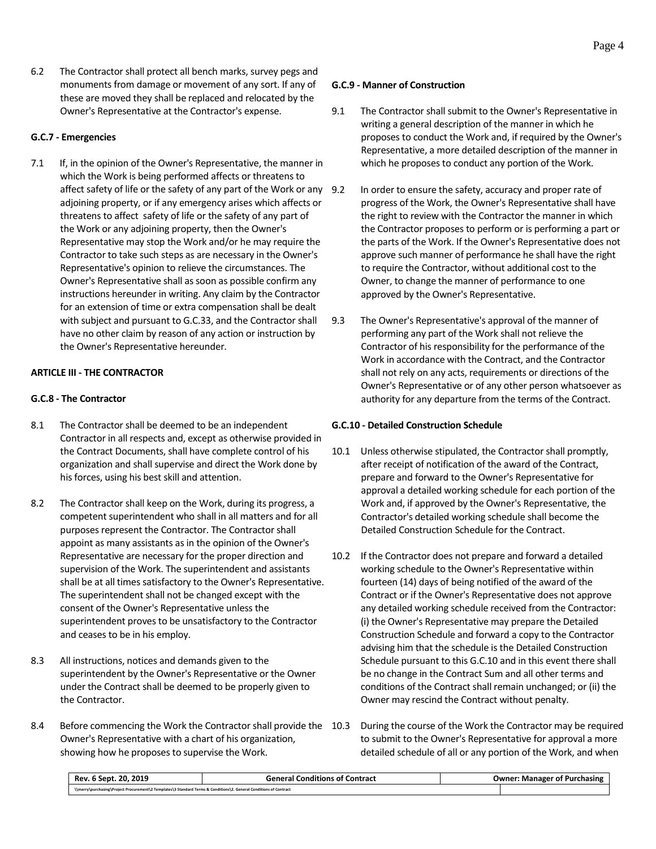6.2 The Contractor shall protect all bench marks, survey pegs and monuments from damage or movement of any sort. If any of these are moved they shall be replaced and relocated by the Owner's Representative at the Contractor's expense.

# <span id="page-7-0"></span>**G.C.7 - Emergencies**

7.1 If, in the opinion of the Owner's Representative, the manner in which the Work is being performed affects or threatens to affect safety of life or the safety of any part of the Work or any 9.2 adjoining property, or if any emergency arises which affects or threatens to affect safety of life or the safety of any part of the Work or any adjoining property, then the Owner's Representative may stop the Work and/or he may require the Contractor to take such steps as are necessary in the Owner's Representative's opinion to relieve the circumstances. The Owner's Representative shall as soon as possible confirm any instructions hereunder in writing. Any claim by the Contractor for an extension of time or extra compensation shall be dealt with subject and pursuant to G.C.33, and the Contractor shall have no other claim by reason of any action or instruction by the Owner's Representative hereunder.

# <span id="page-7-1"></span>**ARTICLE III - THE CONTRACTOR**

# <span id="page-7-2"></span>**G.C.8 - The Contractor**

- 8.1 The Contractor shall be deemed to be an independent Contractor in all respects and, except as otherwise provided in the Contract Documents, shall have complete control of his organization and shall supervise and direct the Work done by his forces, using his best skill and attention.
- 8.2 The Contractor shall keep on the Work, during its progress, a competent superintendent who shall in all matters and for all purposes represent the Contractor. The Contractor shall appoint as many assistants as in the opinion of the Owner's Representative are necessary for the proper direction and supervision of the Work. The superintendent and assistants shall be at all times satisfactory to the Owner's Representative. The superintendent shall not be changed except with the consent of the Owner's Representative unless the superintendent proves to be unsatisfactory to the Contractor and ceases to be in his employ.
- 8.3 All instructions, notices and demands given to the superintendent by the Owner's Representative or the Owner under the Contract shall be deemed to be properly given to the Contractor.
- 8.4 Before commencing the Work the Contractor shall provide the 10.3 Owner's Representative with a chart of his organization, showing how he proposes to supervise the Work.

# <span id="page-7-3"></span>**G.C.9 - Manner of Construction**

- 9.1 The Contractor shall submit to the Owner's Representative in writing a general description of the manner in which he proposes to conduct the Work and, if required by the Owner's Representative, a more detailed description of the manner in which he proposes to conduct any portion of the Work.
- In order to ensure the safety, accuracy and proper rate of progress of the Work, the Owner's Representative shall have the right to review with the Contractor the manner in which the Contractor proposes to perform or is performing a part or the parts of the Work. If the Owner's Representative does not approve such manner of performance he shall have the right to require the Contractor, without additional cost to the Owner, to change the manner of performance to one approved by the Owner's Representative.
- 9.3 The Owner's Representative's approval of the manner of performing any part of the Work shall not relieve the Contractor of his responsibility for the performance of the Work in accordance with the Contract, and the Contractor shall not rely on any acts, requirements or directions of the Owner's Representative or of any other person whatsoever as authority for any departure from the terms of the Contract.

# <span id="page-7-4"></span>**G.C.10 - Detailed Construction Schedule**

- 10.1 Unless otherwise stipulated, the Contractor shall promptly, after receipt of notification of the award of the Contract, prepare and forward to the Owner's Representative for approval a detailed working schedule for each portion of the Work and, if approved by the Owner's Representative, the Contractor's detailed working schedule shall become the Detailed Construction Schedule for the Contract.
- 10.2 If the Contractor does not prepare and forward a detailed working schedule to the Owner's Representative within fourteen (14) days of being notified of the award of the Contract or if the Owner's Representative does not approve any detailed working schedule received from the Contractor: (i) the Owner's Representative may prepare the Detailed Construction Schedule and forward a copy to the Contractor advising him that the schedule is the Detailed Construction Schedule pursuant to this G.C.10 and in this event there shall be no change in the Contract Sum and all other terms and conditions of the Contract shall remain unchanged; or (ii) the Owner may rescind the Contract without penalty.
- During the course of the Work the Contractor may be required to submit to the Owner's Representative for approval a more detailed schedule of all or any portion of the Work, and when

| 20.2019<br>Rev.<br>. Sept                                                                                          | General Conditions of Contract | <b>Owner: Manager of Purchasing</b> |  |
|--------------------------------------------------------------------------------------------------------------------|--------------------------------|-------------------------------------|--|
| \\merry\purchasing\Project Procurement\2 Templates\3 Standard Terms & Conditions\2. General Conditions of Contract |                                |                                     |  |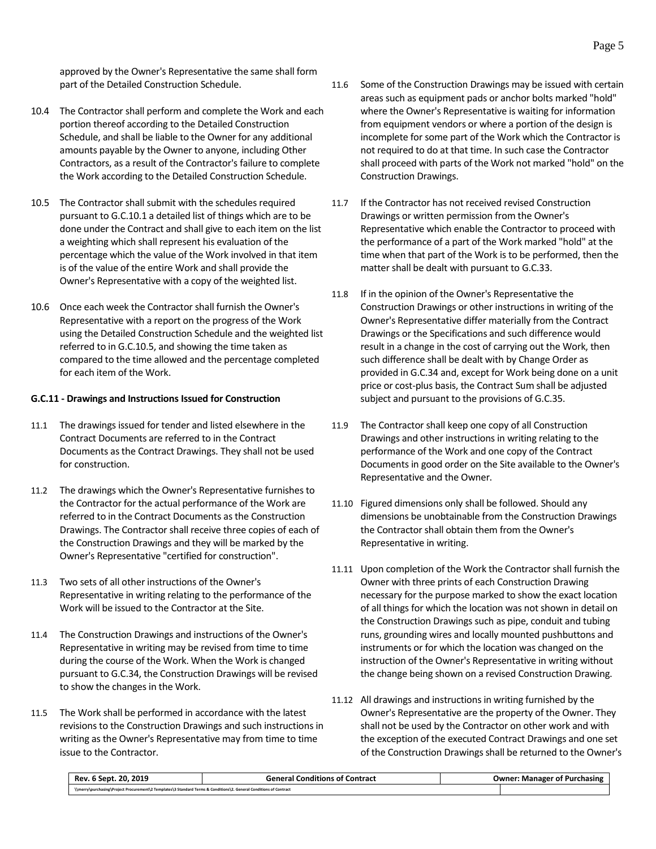approved by the Owner's Representative the same shall form part of the Detailed Construction Schedule.

- 10.4 The Contractor shall perform and complete the Work and each portion thereof according to the Detailed Construction Schedule, and shall be liable to the Owner for any additional amounts payable by the Owner to anyone, including Other Contractors, as a result of the Contractor's failure to complete the Work according to the Detailed Construction Schedule.
- 10.5 The Contractor shall submit with the schedules required pursuant to G.C.10.1 a detailed list of things which are to be done under the Contract and shall give to each item on the list a weighting which shall represent his evaluation of the percentage which the value of the Work involved in that item is of the value of the entire Work and shall provide the Owner's Representative with a copy of the weighted list.
- 10.6 Once each week the Contractor shall furnish the Owner's Representative with a report on the progress of the Work using the Detailed Construction Schedule and the weighted list referred to in G.C.10.5, and showing the time taken as compared to the time allowed and the percentage completed for each item of the Work.

#### <span id="page-8-0"></span>**G.C.11 - Drawings and Instructions Issued for Construction**

- 11.1 The drawings issued for tender and listed elsewhere in the Contract Documents are referred to in the Contract Documents as the Contract Drawings. They shall not be used for construction.
- 11.2 The drawings which the Owner's Representative furnishes to the Contractor for the actual performance of the Work are referred to in the Contract Documents as the Construction Drawings. The Contractor shall receive three copies of each of the Construction Drawings and they will be marked by the Owner's Representative "certified for construction".
- 11.3 Two sets of all other instructions of the Owner's Representative in writing relating to the performance of the Work will be issued to the Contractor at the Site.
- 11.4 The Construction Drawings and instructions of the Owner's Representative in writing may be revised from time to time during the course of the Work. When the Work is changed pursuant to G.C.34, the Construction Drawings will be revised to show the changes in the Work.
- 11.5 The Work shall be performed in accordance with the latest revisions to the Construction Drawings and such instructions in writing as the Owner's Representative may from time to time issue to the Contractor.
- 11.6 Some of the Construction Drawings may be issued with certain areas such as equipment pads or anchor bolts marked "hold" where the Owner's Representative is waiting for information from equipment vendors or where a portion of the design is incomplete for some part of the Work which the Contractor is not required to do at that time. In such case the Contractor shall proceed with parts of the Work not marked "hold" on the Construction Drawings.
- 11.7 If the Contractor has not received revised Construction Drawings or written permission from the Owner's Representative which enable the Contractor to proceed with the performance of a part of the Work marked "hold" at the time when that part of the Work is to be performed, then the matter shall be dealt with pursuant to G.C.33.
- 11.8 If in the opinion of the Owner's Representative the Construction Drawings or other instructions in writing of the Owner's Representative differ materially from the Contract Drawings or the Specifications and such difference would result in a change in the cost of carrying out the Work, then such difference shall be dealt with by Change Order as provided in G.C.34 and, except for Work being done on a unit price or cost-plus basis, the Contract Sum shall be adjusted subject and pursuant to the provisions of G.C.35.
- 11.9 The Contractor shall keep one copy of all Construction Drawings and other instructions in writing relating to the performance of the Work and one copy of the Contract Documents in good order on the Site available to the Owner's Representative and the Owner.
- 11.10 Figured dimensions only shall be followed. Should any dimensions be unobtainable from the Construction Drawings the Contractor shall obtain them from the Owner's Representative in writing.
- 11.11 Upon completion of the Work the Contractor shall furnish the Owner with three prints of each Construction Drawing necessary for the purpose marked to show the exact location of all things for which the location was not shown in detail on the Construction Drawings such as pipe, conduit and tubing runs, grounding wires and locally mounted pushbuttons and instruments or for which the location was changed on the instruction of the Owner's Representative in writing without the change being shown on a revised Construction Drawing.
- 11.12 All drawings and instructions in writing furnished by the Owner's Representative are the property of the Owner. They shall not be used by the Contractor on other work and with the exception of the executed Contract Drawings and one set of the Construction Drawings shall be returned to the Owner's

| Rev. 6 Sept. 20. 2019                                                                                              | <br>General Conditions of Contract | <b>Owner: Manager of Purchasing</b> |
|--------------------------------------------------------------------------------------------------------------------|------------------------------------|-------------------------------------|
| \\merry\purchasing\Project Procurement\2 Templates\3 Standard Terms & Conditions\2. General Conditions of Contract |                                    |                                     |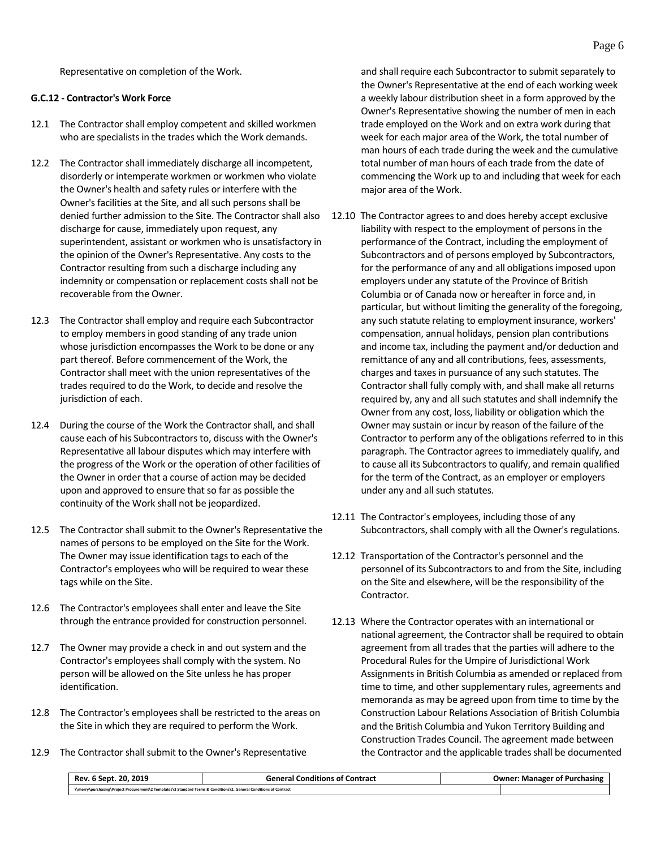Representative on completion of the Work.

#### <span id="page-9-0"></span>**G.C.12 - Contractor's Work Force**

- 12.1 The Contractor shall employ competent and skilled workmen who are specialists in the trades which the Work demands.
- 12.2 The Contractor shall immediately discharge all incompetent, disorderly or intemperate workmen or workmen who violate the Owner's health and safety rules or interfere with the Owner's facilities at the Site, and all such persons shall be denied further admission to the Site. The Contractor shall also discharge for cause, immediately upon request, any superintendent, assistant or workmen who is unsatisfactory in the opinion of the Owner's Representative. Any costs to the Contractor resulting from such a discharge including any indemnity or compensation or replacement costs shall not be recoverable from the Owner.
- 12.3 The Contractor shall employ and require each Subcontractor to employ members in good standing of any trade union whose jurisdiction encompasses the Work to be done or any part thereof. Before commencement of the Work, the Contractor shall meet with the union representatives of the trades required to do the Work, to decide and resolve the jurisdiction of each.
- 12.4 During the course of the Work the Contractor shall, and shall cause each of his Subcontractors to, discuss with the Owner's Representative all labour disputes which may interfere with the progress of the Work or the operation of other facilities of the Owner in order that a course of action may be decided upon and approved to ensure that so far as possible the continuity of the Work shall not be jeopardized.
- 12.5 The Contractor shall submit to the Owner's Representative the names of persons to be employed on the Site for the Work. The Owner may issue identification tags to each of the Contractor's employees who will be required to wear these tags while on the Site.
- 12.6 The Contractor's employees shall enter and leave the Site through the entrance provided for construction personnel.
- 12.7 The Owner may provide a check in and out system and the Contractor's employees shall comply with the system. No person will be allowed on the Site unless he has proper identification.
- 12.8 The Contractor's employees shall be restricted to the areas on the Site in which they are required to perform the Work.
- 12.9 The Contractor shall submit to the Owner's Representative

and shall require each Subcontractor to submit separately to the Owner's Representative at the end of each working week a weekly labour distribution sheet in a form approved by the Owner's Representative showing the number of men in each trade employed on the Work and on extra work during that week for each major area of the Work, the total number of man hours of each trade during the week and the cumulative total number of man hours of each trade from the date of commencing the Work up to and including that week for each major area of the Work.

- 12.10 The Contractor agrees to and does hereby accept exclusive liability with respect to the employment of persons in the performance of the Contract, including the employment of Subcontractors and of persons employed by Subcontractors, for the performance of any and all obligations imposed upon employers under any statute of the Province of British Columbia or of Canada now or hereafter in force and, in particular, but without limiting the generality of the foregoing, any such statute relating to employment insurance, workers' compensation, annual holidays, pension plan contributions and income tax, including the payment and/or deduction and remittance of any and all contributions, fees, assessments, charges and taxes in pursuance of any such statutes. The Contractor shall fully comply with, and shall make all returns required by, any and all such statutes and shall indemnify the Owner from any cost, loss, liability or obligation which the Owner may sustain or incur by reason of the failure of the Contractor to perform any of the obligations referred to in this paragraph. The Contractor agrees to immediately qualify, and to cause all its Subcontractors to qualify, and remain qualified for the term of the Contract, as an employer or employers under any and all such statutes.
- 12.11 The Contractor's employees, including those of any Subcontractors, shall comply with all the Owner's regulations.
- 12.12 Transportation of the Contractor's personnel and the personnel of its Subcontractors to and from the Site, including on the Site and elsewhere, will be the responsibility of the Contractor.
- 12.13 Where the Contractor operates with an international or national agreement, the Contractor shall be required to obtain agreement from all trades that the parties will adhere to the Procedural Rules for the Umpire of Jurisdictional Work Assignments in British Columbia as amended or replaced from time to time, and other supplementary rules, agreements and memoranda as may be agreed upon from time to time by the Construction Labour Relations Association of British Columbia and the British Columbia and Yukon Territory Building and Construction Trades Council. The agreement made between the Contractor and the applicable trades shall be documented

| Rev. 6 Sept. 20, 2019                                                                                              | <b>General Conditions of Contract</b> | <b>Owner: Manager of Purchasing</b> |
|--------------------------------------------------------------------------------------------------------------------|---------------------------------------|-------------------------------------|
| \\merry\purchasing\Project Procurement\2 Templates\3 Standard Terms & Conditions\2. General Conditions of Contract |                                       |                                     |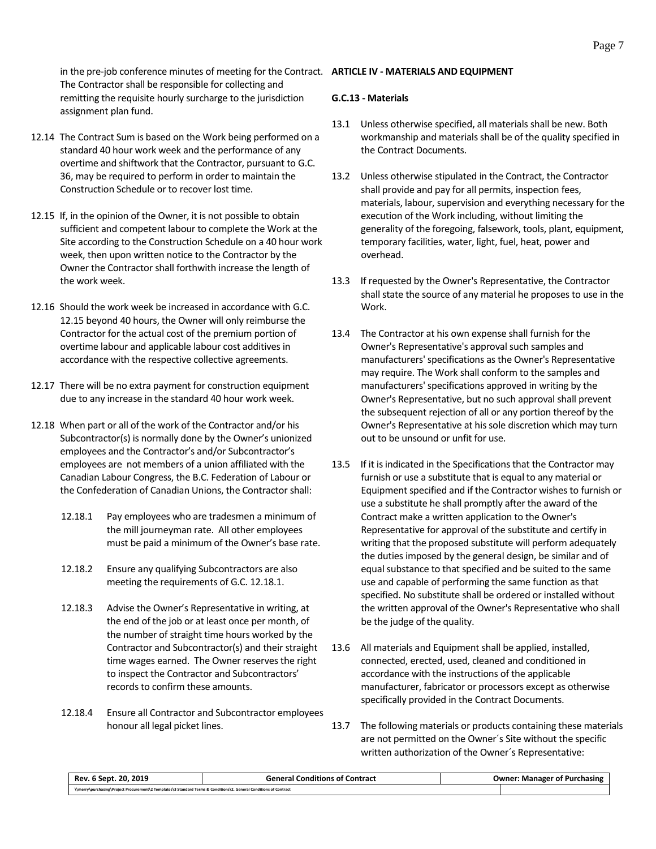in the pre-job conference minutes of meeting for the Contract. **ARTICLE IV - MATERIALS AND EQUIPMENT** The Contractor shall be responsible for collecting and remitting the requisite hourly surcharge to the jurisdiction assignment plan fund.

- 12.14 The Contract Sum is based on the Work being performed on a standard 40 hour work week and the performance of any overtime and shiftwork that the Contractor, pursuant to G.C. 36, may be required to perform in order to maintain the Construction Schedule or to recover lost time.
- 12.15 If, in the opinion of the Owner, it is not possible to obtain sufficient and competent labour to complete the Work at the Site according to the Construction Schedule on a 40 hour work week, then upon written notice to the Contractor by the Owner the Contractor shall forthwith increase the length of the work week.
- 12.16 Should the work week be increased in accordance with G.C. 12.15 beyond 40 hours, the Owner will only reimburse the Contractor for the actual cost of the premium portion of overtime labour and applicable labour cost additives in accordance with the respective collective agreements.
- 12.17 There will be no extra payment for construction equipment due to any increase in the standard 40 hour work week.
- 12.18 When part or all of the work of the Contractor and/or his Subcontractor(s) is normally done by the Owner's unionized employees and the Contractor's and/or Subcontractor's employees are not members of a union affiliated with the Canadian Labour Congress, the B.C. Federation of Labour or the Confederation of Canadian Unions, the Contractor shall:
	- 12.18.1 Pay employees who are tradesmen a minimum of the mill journeyman rate. All other employees must be paid a minimum of the Owner's base rate.
	- 12.18.2 Ensure any qualifying Subcontractors are also meeting the requirements of G.C. 12.18.1.
	- 12.18.3 Advise the Owner's Representative in writing, at the end of the job or at least once per month, of the number of straight time hours worked by the Contractor and Subcontractor(s) and their straight time wages earned. The Owner reserves the right to inspect the Contractor and Subcontractors' records to confirm these amounts.
	- 12.18.4 Ensure all Contractor and Subcontractor employees honour all legal picket lines.

#### <span id="page-10-1"></span><span id="page-10-0"></span>**G.C.13 - Materials**

- 13.1 Unless otherwise specified, all materials shall be new. Both workmanship and materials shall be of the quality specified in the Contract Documents.
- 13.2 Unless otherwise stipulated in the Contract, the Contractor shall provide and pay for all permits, inspection fees, materials, labour, supervision and everything necessary for the execution of the Work including, without limiting the generality of the foregoing, falsework, tools, plant, equipment, temporary facilities, water, light, fuel, heat, power and overhead.
- 13.3 If requested by the Owner's Representative, the Contractor shall state the source of any material he proposes to use in the Work.
- 13.4 The Contractor at his own expense shall furnish for the Owner's Representative's approval such samples and manufacturers' specifications as the Owner's Representative may require. The Work shall conform to the samples and manufacturers' specifications approved in writing by the Owner's Representative, but no such approval shall prevent the subsequent rejection of all or any portion thereof by the Owner's Representative at his sole discretion which may turn out to be unsound or unfit for use.
- 13.5 If it is indicated in the Specifications that the Contractor may furnish or use a substitute that is equal to any material or Equipment specified and if the Contractor wishes to furnish or use a substitute he shall promptly after the award of the Contract make a written application to the Owner's Representative for approval of the substitute and certify in writing that the proposed substitute will perform adequately the duties imposed by the general design, be similar and of equal substance to that specified and be suited to the same use and capable of performing the same function as that specified. No substitute shall be ordered or installed without the written approval of the Owner's Representative who shall be the judge of the quality.
- 13.6 All materials and Equipment shall be applied, installed, connected, erected, used, cleaned and conditioned in accordance with the instructions of the applicable manufacturer, fabricator or processors except as otherwise specifically provided in the Contract Documents.
- 13.7 The following materials or products containing these materials are not permitted on the Owner´s Site without the specific written authorization of the Owner´s Representative:

| 20.2019<br>Rev.<br>- 6 Sept. .                                                                                     | General Conditions of Contract | <b>Owner: Manager of Purchasing</b> |
|--------------------------------------------------------------------------------------------------------------------|--------------------------------|-------------------------------------|
| \\merry\purchasing\Project Procurement\2 Templates\3 Standard Terms & Conditions\2. General Conditions of Contract |                                |                                     |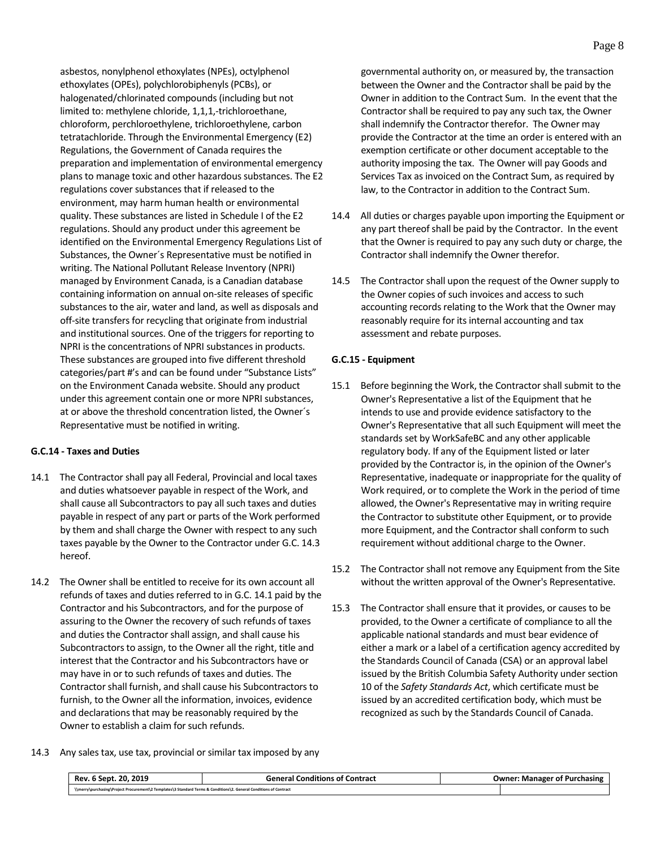asbestos, nonylphenol ethoxylates (NPEs), octylphenol ethoxylates (OPEs), polychlorobiphenyls (PCBs), or halogenated/chlorinated compounds (including but not limited to: methylene chloride, 1,1,1,-trichloroethane, chloroform, perchloroethylene, trichloroethylene, carbon tetratachloride. Through the Environmental Emergency (E2) Regulations, the Government of Canada requires the preparation and implementation of environmental emergency plans to manage toxic and other hazardous substances. The E2 regulations cover substances that if released to the environment, may harm human health or environmental quality. These substances are listed in Schedule I of the E2 regulations. Should any product under this agreement be identified on the Environmental Emergency Regulations List of Substances, the Owner´s Representative must be notified in writing. The National Pollutant Release Inventory (NPRI) managed by Environment Canada, is a Canadian database containing information on annual on-site releases of specific substances to the air, water and land, as well as disposals and off-site transfers for recycling that originate from industrial and institutional sources. One of the triggers for reporting to NPRI is the concentrations of NPRI substances in products. These substances are grouped into five different threshold categories/part #'s and can be found under "Substance Lists" on the Environment Canada website. Should any product under this agreement contain one or more NPRI substances, at or above the threshold concentration listed, the Owner´s Representative must be notified in writing.

# <span id="page-11-0"></span>**G.C.14 - Taxes and Duties**

- 14.1 The Contractor shall pay all Federal, Provincial and local taxes and duties whatsoever payable in respect of the Work, and shall cause all Subcontractors to pay all such taxes and duties payable in respect of any part or parts of the Work performed by them and shall charge the Owner with respect to any such taxes payable by the Owner to the Contractor under G.C. 14.3 hereof.
- 14.2 The Owner shall be entitled to receive for its own account all refunds of taxes and duties referred to in G.C. 14.1 paid by the Contractor and his Subcontractors, and for the purpose of assuring to the Owner the recovery of such refunds of taxes and duties the Contractor shall assign, and shall cause his Subcontractors to assign, to the Owner all the right, title and interest that the Contractor and his Subcontractors have or may have in or to such refunds of taxes and duties. The Contractor shall furnish, and shall cause his Subcontractors to furnish, to the Owner all the information, invoices, evidence and declarations that may be reasonably required by the Owner to establish a claim for such refunds.

governmental authority on, or measured by, the transaction between the Owner and the Contractor shall be paid by the Owner in addition to the Contract Sum. In the event that the Contractor shall be required to pay any such tax, the Owner shall indemnify the Contractor therefor. The Owner may provide the Contractor at the time an order is entered with an exemption certificate or other document acceptable to the authority imposing the tax. The Owner will pay Goods and Services Tax as invoiced on the Contract Sum, as required by law, to the Contractor in addition to the Contract Sum.

- 14.4 All duties or charges payable upon importing the Equipment or any part thereof shall be paid by the Contractor. In the event that the Owner is required to pay any such duty or charge, the Contractor shall indemnify the Owner therefor.
- 14.5 The Contractor shall upon the request of the Owner supply to the Owner copies of such invoices and access to such accounting records relating to the Work that the Owner may reasonably require for its internal accounting and tax assessment and rebate purposes.

#### <span id="page-11-1"></span>**G.C.15 - Equipment**

- 15.1 Before beginning the Work, the Contractor shall submit to the Owner's Representative a list of the Equipment that he intends to use and provide evidence satisfactory to the Owner's Representative that all such Equipment will meet the standards set by WorkSafeBC and any other applicable regulatory body. If any of the Equipment listed or later provided by the Contractor is, in the opinion of the Owner's Representative, inadequate or inappropriate for the quality of Work required, or to complete the Work in the period of time allowed, the Owner's Representative may in writing require the Contractor to substitute other Equipment, or to provide more Equipment, and the Contractor shall conform to such requirement without additional charge to the Owner.
- 15.2 The Contractor shall not remove any Equipment from the Site without the written approval of the Owner's Representative.
- 15.3 The Contractor shall ensure that it provides, or causes to be provided, to the Owner a certificate of compliance to all the applicable national standards and must bear evidence of either a mark or a label of a certification agency accredited by the Standards Council of Canada (CSA) or an approval label issued by the British Columbia Safety Authority under section 10 of the *Safety Standards Act*, which certificate must be issued by an accredited certification body, which must be recognized as such by the Standards Council of Canada.
- 14.3 Any sales tax, use tax, provincial or similar tax imposed by any

| Rev. 6 Sept. 20, 2019                                                                                              | <b>General Conditions of Contract</b> | <b>Owner: Manager of Purchasing</b> |
|--------------------------------------------------------------------------------------------------------------------|---------------------------------------|-------------------------------------|
| \\merry\purchasing\Project Procurement\2 Templates\3 Standard Terms & Conditions\2. General Conditions of Contract |                                       |                                     |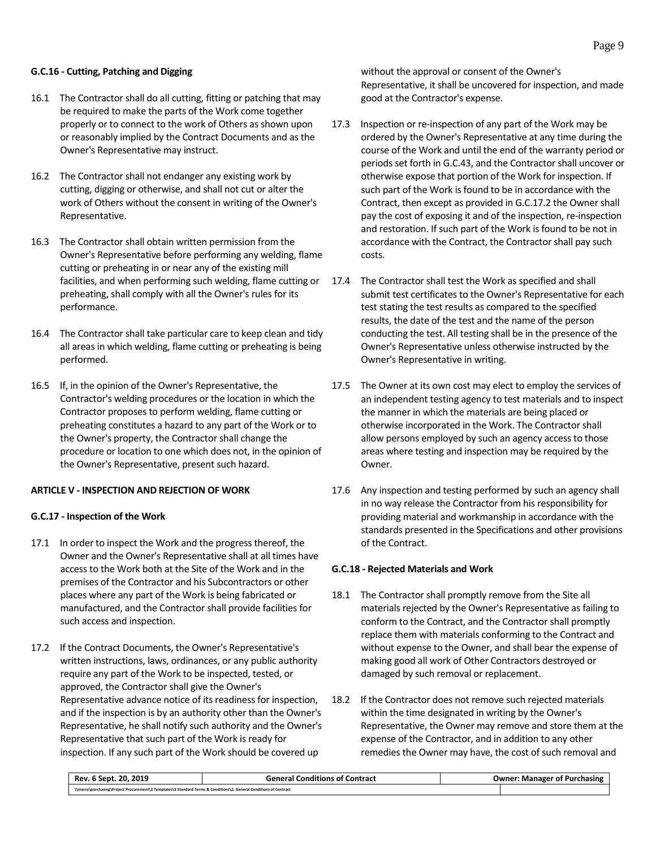# <span id="page-12-0"></span>**G.C.16 - Cutting, Patching and Digging**

- 16.1 The Contractor shall do all cutting, fitting or patching that may be required to make the parts of the Work come together properly or to connect to the work of Others as shown upon or reasonably implied by the Contract Documents and as the Owner's Representative may instruct.
- 16.2 The Contractor shall not endanger any existing work by cutting, digging or otherwise, and shall not cut or alter the work of Others without the consent in writing of the Owner's Representative.
- 16.3 The Contractor shall obtain written permission from the Owner's Representative before performing any welding, flame cutting or preheating in or near any of the existing mill facilities, and when performing such welding, flame cutting or preheating, shall comply with all the Owner's rules for its performance.
- 16.4 The Contractor shall take particular care to keep clean and tidy all areas in which welding, flame cutting or preheating is being performed.
- 16.5 If, in the opinion of the Owner's Representative, the Contractor's welding procedures or the location in which the Contractor proposes to perform welding, flame cutting or preheating constitutes a hazard to any part of the Work or to the Owner's property, the Contractor shall change the procedure or location to one which does not, in the opinion of the Owner's Representative, present such hazard.

#### <span id="page-12-1"></span>**ARTICLE V - INSPECTION AND REJECTION OF WORK**

#### <span id="page-12-2"></span>**G.C.17 - Inspection of the Work**

- 17.1 In order to inspect the Work and the progress thereof, the Owner and the Owner's Representative shall at all times have access to the Work both at the Site of the Work and in the premises of the Contractor and his Subcontractors or other places where any part of the Work is being fabricated or manufactured, and the Contractor shall provide facilities for such access and inspection.
- 17.2 If the Contract Documents, the Owner's Representative's written instructions, laws, ordinances, or any public authority require any part of the Work to be inspected, tested, or approved, the Contractor shall give the Owner's Representative advance notice of its readiness for inspection, and if the inspection is by an authority other than the Owner's Representative, he shall notify such authority and the Owner's Representative that such part of the Work is ready for inspection. If any such part of the Work should be covered up

without the approval or consent of the Owner's Representative, it shall be uncovered for inspection, and made good at the Contractor's expense.

- 17.3 Inspection or re-inspection of any part of the Work may be ordered by the Owner's Representative at any time during the course of the Work and until the end of the warranty period or periods set forth in G.C.43, and the Contractor shall uncover or otherwise expose that portion of the Work for inspection. If such part of the Work is found to be in accordance with the Contract, then except as provided in G.C.17.2 the Owner shall pay the cost of exposing it and of the inspection, re-inspection and restoration. If such part of the Work is found to be not in accordance with the Contract, the Contractor shall pay such costs.
- 17.4 The Contractor shall test the Work as specified and shall submit test certificates to the Owner's Representative for each test stating the test results as compared to the specified results, the date of the test and the name of the person conducting the test. All testing shall be in the presence of the Owner's Representative unless otherwise instructed by the Owner's Representative in writing.
- 17.5 The Owner at its own cost may elect to employ the services of an independent testing agency to test materials and to inspect the manner in which the materials are being placed or otherwise incorporated in the Work. The Contractor shall allow persons employed by such an agency access to those areas where testing and inspection may be required by the Owner.
- 17.6 Any inspection and testing performed by such an agency shall in no way release the Contractor from his responsibility for providing material and workmanship in accordance with the standards presented in the Specifications and other provisions of the Contract.

#### <span id="page-12-3"></span>**G.C.18 - Rejected Materials and Work**

- 18.1 The Contractor shall promptly remove from the Site all materials rejected by the Owner's Representative as failing to conform to the Contract, and the Contractor shall promptly replace them with materials conforming to the Contract and without expense to the Owner, and shall bear the expense of making good all work of Other Contractors destroyed or damaged by such removal or replacement.
- 18.2 If the Contractor does not remove such rejected materials within the time designated in writing by the Owner's Representative, the Owner may remove and store them at the expense of the Contractor, and in addition to any other remedies the Owner may have, the cost of such removal and

| . 6 Sept. 20. 2019<br>Rev.                                                                                         | <b>General Conditions of Contract</b> | <b>Owner: Manager of Purchasing</b> |
|--------------------------------------------------------------------------------------------------------------------|---------------------------------------|-------------------------------------|
| \\merry\purchasing\Project Procurement\2 Templates\3 Standard Terms & Conditions\2. General Conditions of Contract |                                       |                                     |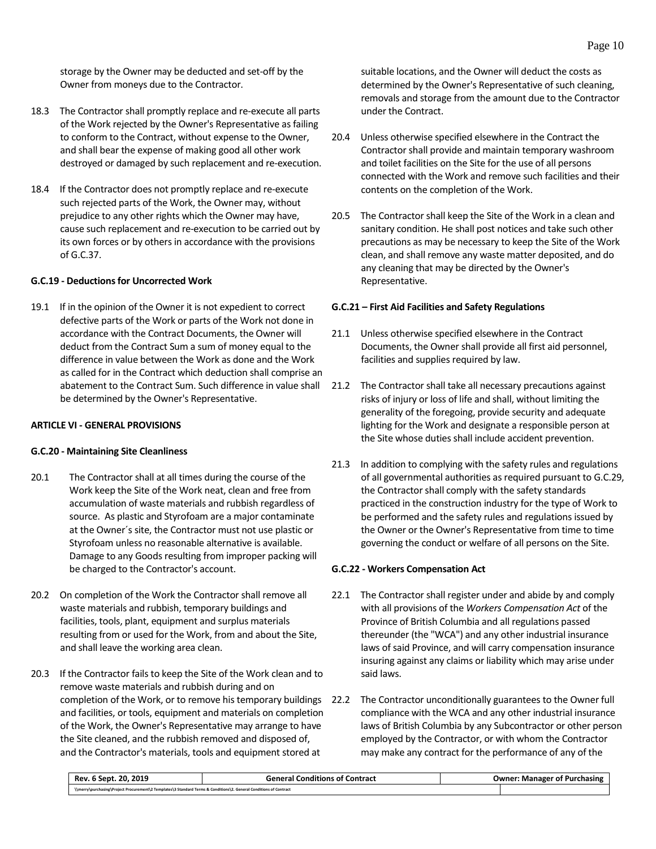storage by the Owner may be deducted and set-off by the Owner from moneys due to the Contractor.

- 18.3 The Contractor shall promptly replace and re-execute all parts of the Work rejected by the Owner's Representative as failing to conform to the Contract, without expense to the Owner, and shall bear the expense of making good all other work destroyed or damaged by such replacement and re-execution.
- 18.4 If the Contractor does not promptly replace and re-execute such rejected parts of the Work, the Owner may, without prejudice to any other rights which the Owner may have, cause such replacement and re-execution to be carried out by its own forces or by others in accordance with the provisions of G.C.37.

#### <span id="page-13-0"></span>**G.C.19 - Deductions for Uncorrected Work**

19.1 If in the opinion of the Owner it is not expedient to correct defective parts of the Work or parts of the Work not done in accordance with the Contract Documents, the Owner will deduct from the Contract Sum a sum of money equal to the difference in value between the Work as done and the Work as called for in the Contract which deduction shall comprise an abatement to the Contract Sum. Such difference in value shall be determined by the Owner's Representative.

#### <span id="page-13-1"></span>**ARTICLE VI - GENERAL PROVISIONS**

#### <span id="page-13-2"></span>**G.C.20 - Maintaining Site Cleanliness**

- 20.1 The Contractor shall at all times during the course of the Work keep the Site of the Work neat, clean and free from accumulation of waste materials and rubbish regardless of source. As plastic and Styrofoam are a major contaminate at the Owner´s site, the Contractor must not use plastic or Styrofoam unless no reasonable alternative is available. Damage to any Goods resulting from improper packing will be charged to the Contractor's account.
- 20.2 On completion of the Work the Contractor shall remove all waste materials and rubbish, temporary buildings and facilities, tools, plant, equipment and surplus materials resulting from or used for the Work, from and about the Site, and shall leave the working area clean.
- 20.3 If the Contractor fails to keep the Site of the Work clean and to remove waste materials and rubbish during and on completion of the Work, or to remove his temporary buildings and facilities, or tools, equipment and materials on completion of the Work, the Owner's Representative may arrange to have the Site cleaned, and the rubbish removed and disposed of, and the Contractor's materials, tools and equipment stored at

suitable locations, and the Owner will deduct the costs as determined by the Owner's Representative of such cleaning, removals and storage from the amount due to the Contractor under the Contract.

- 20.4 Unless otherwise specified elsewhere in the Contract the Contractor shall provide and maintain temporary washroom and toilet facilities on the Site for the use of all persons connected with the Work and remove such facilities and their contents on the completion of the Work.
- 20.5 The Contractor shall keep the Site of the Work in a clean and sanitary condition. He shall post notices and take such other precautions as may be necessary to keep the Site of the Work clean, and shall remove any waste matter deposited, and do any cleaning that may be directed by the Owner's Representative.

#### <span id="page-13-3"></span>**G.C.21 – First Aid Facilities and Safety Regulations**

- 21.1 Unless otherwise specified elsewhere in the Contract Documents, the Owner shall provide all first aid personnel, facilities and supplies required by law.
- 21.2 The Contractor shall take all necessary precautions against risks of injury or loss of life and shall, without limiting the generality of the foregoing, provide security and adequate lighting for the Work and designate a responsible person at the Site whose duties shall include accident prevention.
- 21.3 In addition to complying with the safety rules and regulations of all governmental authorities as required pursuant to G.C.29, the Contractor shall comply with the safety standards practiced in the construction industry for the type of Work to be performed and the safety rules and regulations issued by the Owner or the Owner's Representative from time to time governing the conduct or welfare of all persons on the Site.

#### <span id="page-13-4"></span>**G.C.22 - Workers Compensation Act**

- 22.1 The Contractor shall register under and abide by and comply with all provisions of the *Workers Compensation Act* of the Province of British Columbia and all regulations passed thereunder (the "WCA") and any other industrial insurance laws of said Province, and will carry compensation insurance insuring against any claims or liability which may arise under said laws.
- 22.2 The Contractor unconditionally guarantees to the Owner full compliance with the WCA and any other industrial insurance laws of British Columbia by any Subcontractor or other person employed by the Contractor, or with whom the Contractor may make any contract for the performance of any of the

| . 2019<br>-20.<br>Rev. 6 Sept.                                                                                     | <b>General Conditions of Contract</b> | <b>Owner: Manager of Purchasing</b> |
|--------------------------------------------------------------------------------------------------------------------|---------------------------------------|-------------------------------------|
| \\merry\purchasing\Project Procurement\2 Templates\3 Standard Terms & Conditions\2. General Conditions of Contract |                                       |                                     |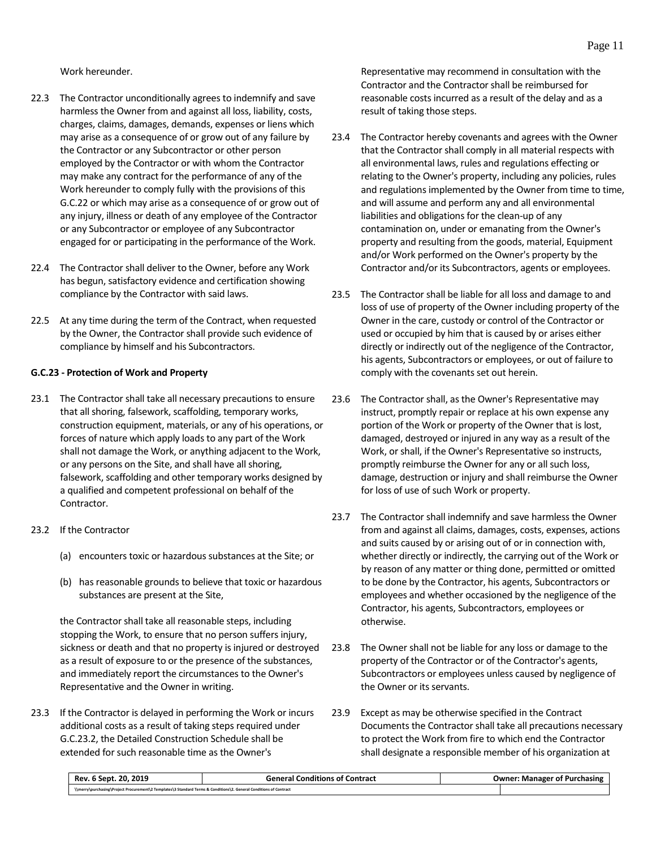Work hereunder.

- 22.3 The Contractor unconditionally agrees to indemnify and save harmless the Owner from and against all loss, liability, costs, charges, claims, damages, demands, expenses or liens which may arise as a consequence of or grow out of any failure by the Contractor or any Subcontractor or other person employed by the Contractor or with whom the Contractor may make any contract for the performance of any of the Work hereunder to comply fully with the provisions of this G.C.22 or which may arise as a consequence of or grow out of any injury, illness or death of any employee of the Contractor or any Subcontractor or employee of any Subcontractor engaged for or participating in the performance of the Work.
- 22.4 The Contractor shall deliver to the Owner, before any Work has begun, satisfactory evidence and certification showing compliance by the Contractor with said laws.
- 22.5 At any time during the term of the Contract, when requested by the Owner, the Contractor shall provide such evidence of compliance by himself and his Subcontractors.

#### <span id="page-14-0"></span>**G.C.23 - Protection of Work and Property**

- 23.1 The Contractor shall take all necessary precautions to ensure that all shoring, falsework, scaffolding, temporary works, construction equipment, materials, or any of his operations, or forces of nature which apply loads to any part of the Work shall not damage the Work, or anything adjacent to the Work, or any persons on the Site, and shall have all shoring, falsework, scaffolding and other temporary works designed by a qualified and competent professional on behalf of the Contractor.
- 23.2 If the Contractor
	- (a) encounters toxic or hazardous substances at the Site; or
	- (b) has reasonable grounds to believe that toxic or hazardous substances are present at the Site,

the Contractor shall take all reasonable steps, including stopping the Work, to ensure that no person suffers injury, sickness or death and that no property is injured or destroyed as a result of exposure to or the presence of the substances, and immediately report the circumstances to the Owner's Representative and the Owner in writing.

23.3 If the Contractor is delayed in performing the Work or incurs additional costs as a result of taking steps required under G.C.23.2, the Detailed Construction Schedule shall be extended for such reasonable time as the Owner's

Representative may recommend in consultation with the Contractor and the Contractor shall be reimbursed for reasonable costs incurred as a result of the delay and as a result of taking those steps.

- 23.4 The Contractor hereby covenants and agrees with the Owner that the Contractor shall comply in all material respects with all environmental laws, rules and regulations effecting or relating to the Owner's property, including any policies, rules and regulations implemented by the Owner from time to time, and will assume and perform any and all environmental liabilities and obligations for the clean-up of any contamination on, under or emanating from the Owner's property and resulting from the goods, material, Equipment and/or Work performed on the Owner's property by the Contractor and/or its Subcontractors, agents or employees.
- 23.5 The Contractor shall be liable for all loss and damage to and loss of use of property of the Owner including property of the Owner in the care, custody or control of the Contractor or used or occupied by him that is caused by or arises either directly or indirectly out of the negligence of the Contractor, his agents, Subcontractors or employees, or out of failure to comply with the covenants set out herein.
- 23.6 The Contractor shall, as the Owner's Representative may instruct, promptly repair or replace at his own expense any portion of the Work or property of the Owner that is lost, damaged, destroyed or injured in any way as a result of the Work, or shall, if the Owner's Representative so instructs, promptly reimburse the Owner for any or all such loss, damage, destruction or injury and shall reimburse the Owner for loss of use of such Work or property.
- 23.7 The Contractor shall indemnify and save harmless the Owner from and against all claims, damages, costs, expenses, actions and suits caused by or arising out of or in connection with, whether directly or indirectly, the carrying out of the Work or by reason of any matter or thing done, permitted or omitted to be done by the Contractor, his agents, Subcontractors or employees and whether occasioned by the negligence of the Contractor, his agents, Subcontractors, employees or otherwise.
- 23.8 The Owner shall not be liable for any loss or damage to the property of the Contractor or of the Contractor's agents, Subcontractors or employees unless caused by negligence of the Owner or its servants.
- 23.9 Except as may be otherwise specified in the Contract Documents the Contractor shall take all precautions necessary to protect the Work from fire to which end the Contractor shall designate a responsible member of his organization at

| Rev. 6 Sept. 20. 2019                                                                                              | <b>General Conditions of Contract</b> | <b>Owner: Manager of Purchasing</b> |
|--------------------------------------------------------------------------------------------------------------------|---------------------------------------|-------------------------------------|
| \\merry\purchasing\Project Procurement\2 Templates\3 Standard Terms & Conditions\2. General Conditions of Contract |                                       |                                     |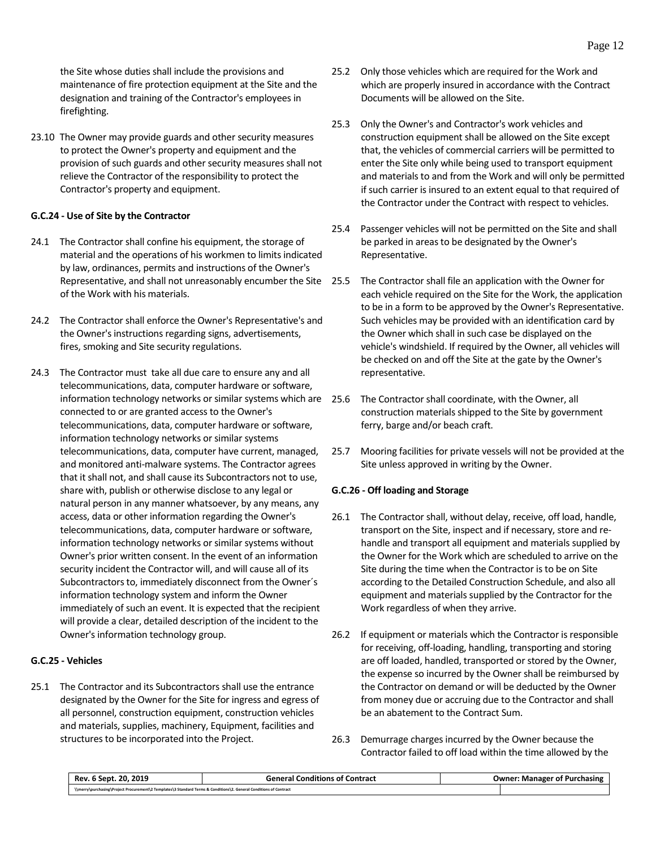the Site whose duties shall include the provisions and maintenance of fire protection equipment at the Site and the designation and training of the Contractor's employees in firefighting.

23.10 The Owner may provide guards and other security measures to protect the Owner's property and equipment and the provision of such guards and other security measures shall not relieve the Contractor of the responsibility to protect the Contractor's property and equipment.

# <span id="page-15-0"></span>**G.C.24 - Use of Site by the Contractor**

- 24.1 The Contractor shall confine his equipment, the storage of material and the operations of his workmen to limits indicated by law, ordinances, permits and instructions of the Owner's Representative, and shall not unreasonably encumber the Site of the Work with his materials.
- 24.2 The Contractor shall enforce the Owner's Representative's and the Owner's instructions regarding signs, advertisements, fires, smoking and Site security regulations.
- 24.3 The Contractor must take all due care to ensure any and all telecommunications, data, computer hardware or software, information technology networks or similar systems which are 25.6 connected to or are granted access to the Owner's telecommunications, data, computer hardware or software, information technology networks or similar systems telecommunications, data, computer have current, managed, and monitored anti-malware systems. The Contractor agrees that it shall not, and shall cause its Subcontractors not to use, share with, publish or otherwise disclose to any legal or natural person in any manner whatsoever, by any means, any access, data or other information regarding the Owner's telecommunications, data, computer hardware or software, information technology networks or similar systems without Owner's prior written consent. In the event of an information security incident the Contractor will, and will cause all of its Subcontractors to, immediately disconnect from the Owner´s information technology system and inform the Owner immediately of such an event. It is expected that the recipient will provide a clear, detailed description of the incident to the Owner's information technology group.

# <span id="page-15-1"></span>**G.C.25 - Vehicles**

25.1 The Contractor and its Subcontractors shall use the entrance designated by the Owner for the Site for ingress and egress of all personnel, construction equipment, construction vehicles and materials, supplies, machinery, Equipment, facilities and structures to be incorporated into the Project.

- 25.2 Only those vehicles which are required for the Work and which are properly insured in accordance with the Contract Documents will be allowed on the Site.
- 25.3 Only the Owner's and Contractor's work vehicles and construction equipment shall be allowed on the Site except that, the vehicles of commercial carriers will be permitted to enter the Site only while being used to transport equipment and materials to and from the Work and will only be permitted if such carrier is insured to an extent equal to that required of the Contractor under the Contract with respect to vehicles.
- 25.4 Passenger vehicles will not be permitted on the Site and shall be parked in areas to be designated by the Owner's Representative.
- The Contractor shall file an application with the Owner for each vehicle required on the Site for the Work, the application to be in a form to be approved by the Owner's Representative. Such vehicles may be provided with an identification card by the Owner which shall in such case be displayed on the vehicle's windshield. If required by the Owner, all vehicles will be checked on and off the Site at the gate by the Owner's representative.
- The Contractor shall coordinate, with the Owner, all construction materials shipped to the Site by government ferry, barge and/or beach craft.
- 25.7 Mooring facilities for private vessels will not be provided at the Site unless approved in writing by the Owner.

#### <span id="page-15-2"></span>**G.C.26 - Off loading and Storage**

- 26.1 The Contractor shall, without delay, receive, off load, handle, transport on the Site, inspect and if necessary, store and rehandle and transport all equipment and materials supplied by the Owner for the Work which are scheduled to arrive on the Site during the time when the Contractor is to be on Site according to the Detailed Construction Schedule, and also all equipment and materials supplied by the Contractor for the Work regardless of when they arrive.
- 26.2 If equipment or materials which the Contractor is responsible for receiving, off-loading, handling, transporting and storing are off loaded, handled, transported or stored by the Owner, the expense so incurred by the Owner shall be reimbursed by the Contractor on demand or will be deducted by the Owner from money due or accruing due to the Contractor and shall be an abatement to the Contract Sum.
- 26.3 Demurrage charges incurred by the Owner because the Contractor failed to off load within the time allowed by the

| Rev. 6 Sept. 20. 2019                                                                                              | <b>General Conditions of Contract</b> | <b>Owner: Manager of Purchasing</b> |
|--------------------------------------------------------------------------------------------------------------------|---------------------------------------|-------------------------------------|
| \\merry\purchasing\Project Procurement\2 Templates\3 Standard Terms & Conditions\2. General Conditions of Contract |                                       |                                     |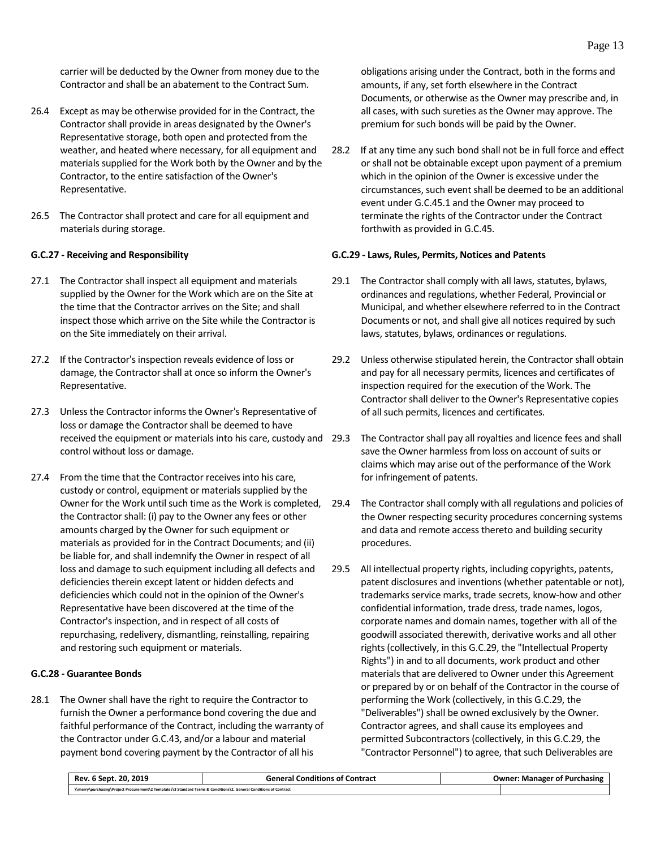carrier will be deducted by the Owner from money due to the Contractor and shall be an abatement to the Contract Sum.

- 26.4 Except as may be otherwise provided for in the Contract, the Contractor shall provide in areas designated by the Owner's Representative storage, both open and protected from the weather, and heated where necessary, for all equipment and materials supplied for the Work both by the Owner and by the Contractor, to the entire satisfaction of the Owner's Representative.
- 26.5 The Contractor shall protect and care for all equipment and materials during storage.

#### <span id="page-16-0"></span>**G.C.27 - Receiving and Responsibility**

- 27.1 The Contractor shall inspect all equipment and materials supplied by the Owner for the Work which are on the Site at the time that the Contractor arrives on the Site; and shall inspect those which arrive on the Site while the Contractor is on the Site immediately on their arrival.
- 27.2 If the Contractor's inspection reveals evidence of loss or damage, the Contractor shall at once so inform the Owner's Representative.
- 27.3 Unless the Contractor informs the Owner's Representative of loss or damage the Contractor shall be deemed to have control without loss or damage.
- 27.4 From the time that the Contractor receives into his care, custody or control, equipment or materials supplied by the Owner for the Work until such time as the Work is completed, the Contractor shall: (i) pay to the Owner any fees or other amounts charged by the Owner for such equipment or materials as provided for in the Contract Documents; and (ii) be liable for, and shall indemnify the Owner in respect of all loss and damage to such equipment including all defects and deficiencies therein except latent or hidden defects and deficiencies which could not in the opinion of the Owner's Representative have been discovered at the time of the Contractor's inspection, and in respect of all costs of repurchasing, redelivery, dismantling, reinstalling, repairing and restoring such equipment or materials.

# <span id="page-16-1"></span>**G.C.28 - Guarantee Bonds**

28.1 The Owner shall have the right to require the Contractor to furnish the Owner a performance bond covering the due and faithful performance of the Contract, including the warranty of the Contractor under G.C.43, and/or a labour and material payment bond covering payment by the Contractor of all his

obligations arising under the Contract, both in the forms and amounts, if any, set forth elsewhere in the Contract Documents, or otherwise as the Owner may prescribe and, in all cases, with such sureties as the Owner may approve. The premium for such bonds will be paid by the Owner.

28.2 If at any time any such bond shall not be in full force and effect or shall not be obtainable except upon payment of a premium which in the opinion of the Owner is excessive under the circumstances, such event shall be deemed to be an additional event under G.C.45.1 and the Owner may proceed to terminate the rights of the Contractor under the Contract forthwith as provided in G.C.45.

#### <span id="page-16-2"></span>**G.C.29 - Laws, Rules, Permits, Notices and Patents**

- 29.1 The Contractor shall comply with all laws, statutes, bylaws, ordinances and regulations, whether Federal, Provincial or Municipal, and whether elsewhere referred to in the Contract Documents or not, and shall give all notices required by such laws, statutes, bylaws, ordinances or regulations.
- 29.2 Unless otherwise stipulated herein, the Contractor shall obtain and pay for all necessary permits, licences and certificates of inspection required for the execution of the Work. The Contractor shall deliver to the Owner's Representative copies of all such permits, licences and certificates.
- received the equipment or materials into his care, custody and 29.3 The Contractor shall pay all royalties and licence fees and shall save the Owner harmless from loss on account of suits or claims which may arise out of the performance of the Work for infringement of patents.
	- 29.4 The Contractor shall comply with all regulations and policies of the Owner respecting security procedures concerning systems and data and remote access thereto and building security procedures.
	- 29.5 All intellectual property rights, including copyrights, patents, patent disclosures and inventions (whether patentable or not), trademarks service marks, trade secrets, know-how and other confidential information, trade dress, trade names, logos, corporate names and domain names, together with all of the goodwill associated therewith, derivative works and all other rights (collectively, in this G.C.29, the "Intellectual Property Rights") in and to all documents, work product and other materials that are delivered to Owner under this Agreement or prepared by or on behalf of the Contractor in the course of performing the Work (collectively, in this G.C.29, the "Deliverables") shall be owned exclusively by the Owner. Contractor agrees, and shall cause its employees and permitted Subcontractors (collectively, in this G.C.29, the "Contractor Personnel") to agree, that such Deliverables are

| . 20. 2019<br>Rev. 6 Sept.                                                                                         | <b>General Conditions of Contract</b> | <b>Owner: Manager of Purchasing</b> |
|--------------------------------------------------------------------------------------------------------------------|---------------------------------------|-------------------------------------|
| \\merry\purchasing\Project Procurement\2 Templates\3 Standard Terms & Conditions\2. General Conditions of Contract |                                       |                                     |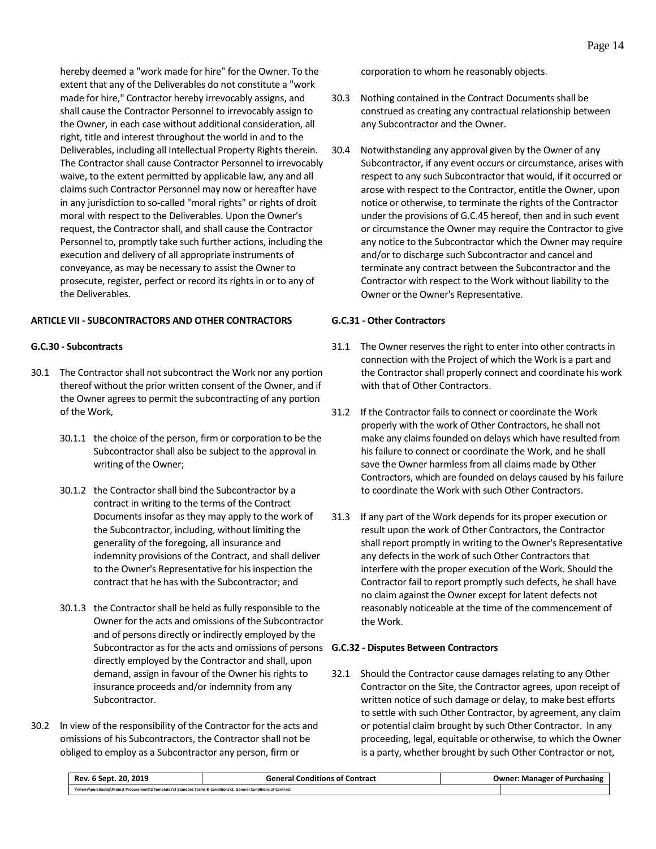hereby deemed a "work made for hire" for the Owner. To the extent that any of the Deliverables do not constitute a "work made for hire," Contractor hereby irrevocably assigns, and shall cause the Contractor Personnel to irrevocably assign to the Owner, in each case without additional consideration, all right, title and interest throughout the world in and to the Deliverables, including all Intellectual Property Rights therein. The Contractor shall cause Contractor Personnel to irrevocably waive, to the extent permitted by applicable law, any and all claims such Contractor Personnel may now or hereafter have in any jurisdiction to so-called "moral rights" or rights of droit moral with respect to the Deliverables. Upon the Owner's request, the Contractor shall, and shall cause the Contractor Personnel to, promptly take such further actions, including the execution and delivery of all appropriate instruments of conveyance, as may be necessary to assist the Owner to prosecute, register, perfect or record its rights in or to any of the Deliverables.

#### <span id="page-17-0"></span>**ARTICLE VII - SUBCONTRACTORS AND OTHER CONTRACTORS**

#### <span id="page-17-1"></span>**G.C.30 - Subcontracts**

- 30.1 The Contractor shall not subcontract the Work nor any portion thereof without the prior written consent of the Owner, and if the Owner agrees to permit the subcontracting of any portion of the Work,
	- 30.1.1 the choice of the person, firm or corporation to be the Subcontractor shall also be subject to the approval in writing of the Owner;
	- 30.1.2 the Contractor shall bind the Subcontractor by a contract in writing to the terms of the Contract Documents insofar as they may apply to the work of the Subcontractor, including, without limiting the generality of the foregoing, all insurance and indemnity provisions of the Contract, and shall deliver to the Owner's Representative for his inspection the contract that he has with the Subcontractor; and
	- 30.1.3 the Contractor shall be held as fully responsible to the Owner for the acts and omissions of the Subcontractor and of persons directly or indirectly employed by the Subcontractor as for the acts and omissions of persons **G.C.32 - Disputes Between Contractors** directly employed by the Contractor and shall, upon demand, assign in favour of the Owner his rights to insurance proceeds and/or indemnity from any Subcontractor.
- 30.2 In view of the responsibility of the Contractor for the acts and omissions of his Subcontractors, the Contractor shall not be obliged to employ as a Subcontractor any person, firm or

corporation to whom he reasonably objects.

- 30.3 Nothing contained in the Contract Documents shall be construed as creating any contractual relationship between any Subcontractor and the Owner.
- 30.4 Notwithstanding any approval given by the Owner of any Subcontractor, if any event occurs or circumstance, arises with respect to any such Subcontractor that would, if it occurred or arose with respect to the Contractor, entitle the Owner, upon notice or otherwise, to terminate the rights of the Contractor under the provisions of G.C.45 hereof, then and in such event or circumstance the Owner may require the Contractor to give any notice to the Subcontractor which the Owner may require and/or to discharge such Subcontractor and cancel and terminate any contract between the Subcontractor and the Contractor with respect to the Work without liability to the Owner or the Owner's Representative.

#### <span id="page-17-2"></span>**G.C.31 - Other Contractors**

- 31.1 The Owner reserves the right to enter into other contracts in connection with the Project of which the Work is a part and the Contractor shall properly connect and coordinate his work with that of Other Contractors.
- 31.2 If the Contractor fails to connect or coordinate the Work properly with the work of Other Contractors, he shall not make any claims founded on delays which have resulted from his failure to connect or coordinate the Work, and he shall save the Owner harmless from all claims made by Other Contractors, which are founded on delays caused by his failure to coordinate the Work with such Other Contractors.
- 31.3 If any part of the Work depends for its proper execution or result upon the work of Other Contractors, the Contractor shall report promptly in writing to the Owner's Representative any defects in the work of such Other Contractors that interfere with the proper execution of the Work. Should the Contractor fail to report promptly such defects, he shall have no claim against the Owner except for latent defects not reasonably noticeable at the time of the commencement of the Work.

<span id="page-17-3"></span>32.1 Should the Contractor cause damages relating to any Other Contractor on the Site, the Contractor agrees, upon receipt of written notice of such damage or delay, to make best efforts to settle with such Other Contractor, by agreement, any claim or potential claim brought by such Other Contractor. In any proceeding, legal, equitable or otherwise, to which the Owner is a party, whether brought by such Other Contractor or not,

| Rev. 6 Sept. 20. 2019                                                                                              | <b>General Conditions of Contract</b> | <b>Owner: Manager of Purchasing</b> |  |
|--------------------------------------------------------------------------------------------------------------------|---------------------------------------|-------------------------------------|--|
| \\merry\purchasing\Project Procurement\2 Templates\3 Standard Terms & Conditions\2. General Conditions of Contract |                                       |                                     |  |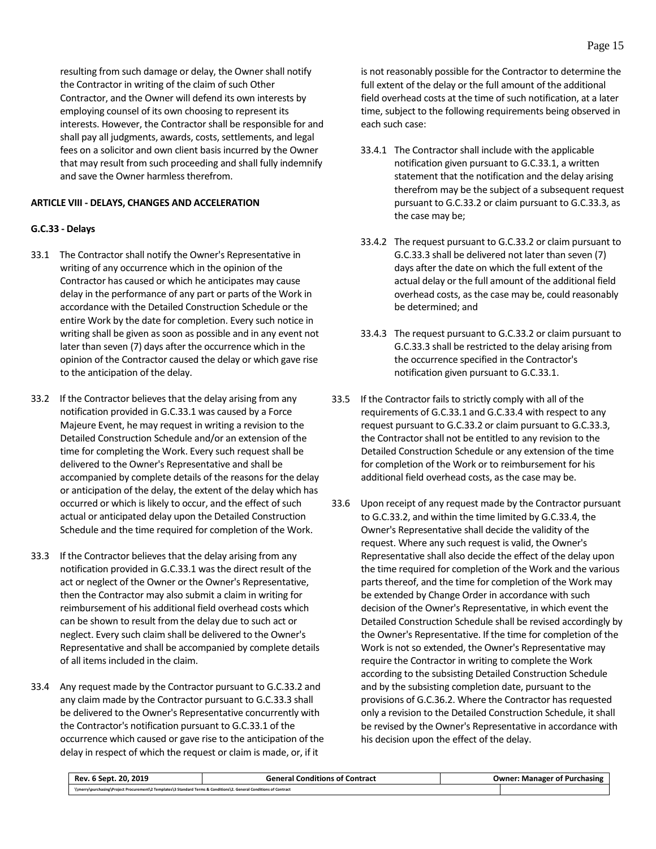resulting from such damage or delay, the Owner shall notify the Contractor in writing of the claim of such Other Contractor, and the Owner will defend its own interests by employing counsel of its own choosing to represent its interests. However, the Contractor shall be responsible for and shall pay all judgments, awards, costs, settlements, and legal fees on a solicitor and own client basis incurred by the Owner that may result from such proceeding and shall fully indemnify and save the Owner harmless therefrom.

# <span id="page-18-0"></span>**ARTICLE VIII - DELAYS, CHANGES AND ACCELERATION**

# <span id="page-18-1"></span>**G.C.33 - Delays**

- 33.1 The Contractor shall notify the Owner's Representative in writing of any occurrence which in the opinion of the Contractor has caused or which he anticipates may cause delay in the performance of any part or parts of the Work in accordance with the Detailed Construction Schedule or the entire Work by the date for completion. Every such notice in writing shall be given as soon as possible and in any event not later than seven (7) days after the occurrence which in the opinion of the Contractor caused the delay or which gave rise to the anticipation of the delay.
- 33.2 If the Contractor believes that the delay arising from any notification provided in G.C.33.1 was caused by a Force Majeure Event, he may request in writing a revision to the Detailed Construction Schedule and/or an extension of the time for completing the Work. Every such request shall be delivered to the Owner's Representative and shall be accompanied by complete details of the reasons for the delay or anticipation of the delay, the extent of the delay which has occurred or which is likely to occur, and the effect of such actual or anticipated delay upon the Detailed Construction Schedule and the time required for completion of the Work.
- 33.3 If the Contractor believes that the delay arising from any notification provided in G.C.33.1 was the direct result of the act or neglect of the Owner or the Owner's Representative, then the Contractor may also submit a claim in writing for reimbursement of his additional field overhead costs which can be shown to result from the delay due to such act or neglect. Every such claim shall be delivered to the Owner's Representative and shall be accompanied by complete details of all items included in the claim.
- 33.4 Any request made by the Contractor pursuant to G.C.33.2 and any claim made by the Contractor pursuant to G.C.33.3 shall be delivered to the Owner's Representative concurrently with the Contractor's notification pursuant to G.C.33.1 of the occurrence which caused or gave rise to the anticipation of the delay in respect of which the request or claim is made, or, if it

is not reasonably possible for the Contractor to determine the full extent of the delay or the full amount of the additional field overhead costs at the time of such notification, at a later time, subject to the following requirements being observed in each such case:

- 33.4.1 The Contractor shall include with the applicable notification given pursuant to G.C.33.1, a written statement that the notification and the delay arising therefrom may be the subject of a subsequent request pursuant to G.C.33.2 or claim pursuant to G.C.33.3, as the case may be;
- 33.4.2 The request pursuant to G.C.33.2 or claim pursuant to G.C.33.3 shall be delivered not later than seven (7) days after the date on which the full extent of the actual delay or the full amount of the additional field overhead costs, as the case may be, could reasonably be determined; and
- 33.4.3 The request pursuant to G.C.33.2 or claim pursuant to G.C.33.3 shall be restricted to the delay arising from the occurrence specified in the Contractor's notification given pursuant to G.C.33.1.
- 33.5 If the Contractor fails to strictly comply with all of the requirements of G.C.33.1 and G.C.33.4 with respect to any request pursuant to G.C.33.2 or claim pursuant to G.C.33.3, the Contractor shall not be entitled to any revision to the Detailed Construction Schedule or any extension of the time for completion of the Work or to reimbursement for his additional field overhead costs, as the case may be.
- 33.6 Upon receipt of any request made by the Contractor pursuant to G.C.33.2, and within the time limited by G.C.33.4, the Owner's Representative shall decide the validity of the request. Where any such request is valid, the Owner's Representative shall also decide the effect of the delay upon the time required for completion of the Work and the various parts thereof, and the time for completion of the Work may be extended by Change Order in accordance with such decision of the Owner's Representative, in which event the Detailed Construction Schedule shall be revised accordingly by the Owner's Representative. If the time for completion of the Work is not so extended, the Owner's Representative may require the Contractor in writing to complete the Work according to the subsisting Detailed Construction Schedule and by the subsisting completion date, pursuant to the provisions of G.C.36.2. Where the Contractor has requested only a revision to the Detailed Construction Schedule, it shall be revised by the Owner's Representative in accordance with his decision upon the effect of the delay.

| 2019<br>20<br>5 Sept<br>Rev.                                                                                       | <b>Contract</b><br><b>General Conditions of</b> | :Jwner<br>Purchasing<br>Manager of |
|--------------------------------------------------------------------------------------------------------------------|-------------------------------------------------|------------------------------------|
| \\merry\purchasing\Project Procurement\2 Templates\3 Standard Terms & Conditions\2. General Conditions of Contract |                                                 |                                    |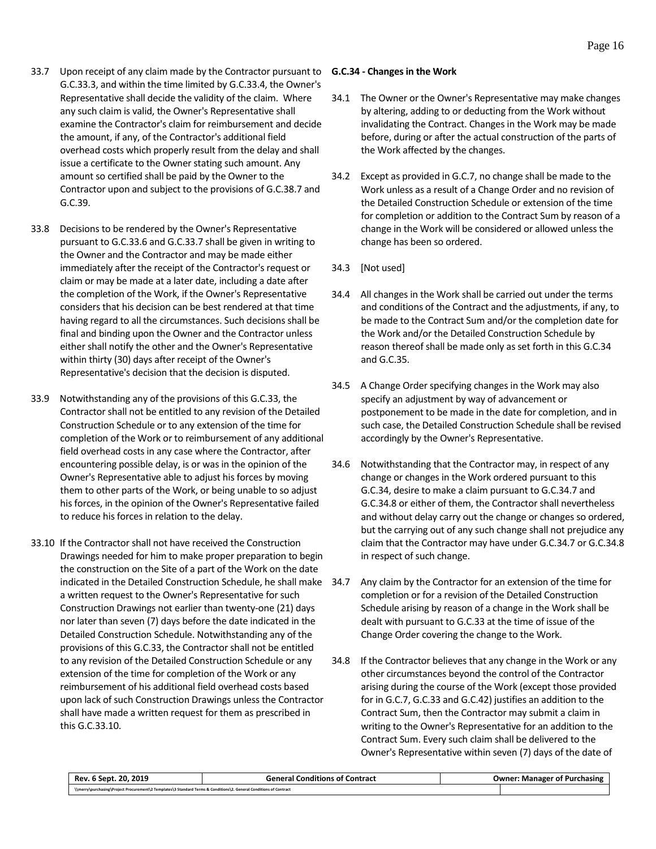- 33.7 Upon receipt of any claim made by the Contractor pursuant to G.C.33.3, and within the time limited by G.C.33.4, the Owner's Representative shall decide the validity of the claim. Where any such claim is valid, the Owner's Representative shall examine the Contractor's claim for reimbursement and decide the amount, if any, of the Contractor's additional field overhead costs which properly result from the delay and shall issue a certificate to the Owner stating such amount. Any amount so certified shall be paid by the Owner to the Contractor upon and subject to the provisions of G.C.38.7 and G.C.39.
- 33.8 Decisions to be rendered by the Owner's Representative pursuant to G.C.33.6 and G.C.33.7 shall be given in writing to the Owner and the Contractor and may be made either immediately after the receipt of the Contractor's request or claim or may be made at a later date, including a date after the completion of the Work, if the Owner's Representative considers that his decision can be best rendered at that time having regard to all the circumstances. Such decisions shall be final and binding upon the Owner and the Contractor unless either shall notify the other and the Owner's Representative within thirty (30) days after receipt of the Owner's Representative's decision that the decision is disputed.
- 33.9 Notwithstanding any of the provisions of this G.C.33, the Contractor shall not be entitled to any revision of the Detailed Construction Schedule or to any extension of the time for completion of the Work or to reimbursement of any additional field overhead costs in any case where the Contractor, after encountering possible delay, is or was in the opinion of the Owner's Representative able to adjust his forces by moving them to other parts of the Work, or being unable to so adjust his forces, in the opinion of the Owner's Representative failed to reduce his forces in relation to the delay.
- 33.10 If the Contractor shall not have received the Construction Drawings needed for him to make proper preparation to begin the construction on the Site of a part of the Work on the date indicated in the Detailed Construction Schedule, he shall make a written request to the Owner's Representative for such Construction Drawings not earlier than twenty-one (21) days nor later than seven (7) days before the date indicated in the Detailed Construction Schedule. Notwithstanding any of the provisions of this G.C.33, the Contractor shall not be entitled to any revision of the Detailed Construction Schedule or any extension of the time for completion of the Work or any reimbursement of his additional field overhead costs based upon lack of such Construction Drawings unless the Contractor shall have made a written request for them as prescribed in this G.C.33.10.

#### <span id="page-19-0"></span>**G.C.34 - Changes in the Work**

- 34.1 The Owner or the Owner's Representative may make changes by altering, adding to or deducting from the Work without invalidating the Contract. Changes in the Work may be made before, during or after the actual construction of the parts of the Work affected by the changes.
- 34.2 Except as provided in G.C.7, no change shall be made to the Work unless as a result of a Change Order and no revision of the Detailed Construction Schedule or extension of the time for completion or addition to the Contract Sum by reason of a change in the Work will be considered or allowed unless the change has been so ordered.
- 34.3 [Not used]
- 34.4 All changes in the Work shall be carried out under the terms and conditions of the Contract and the adjustments, if any, to be made to the Contract Sum and/or the completion date for the Work and/or the Detailed Construction Schedule by reason thereof shall be made only as set forth in this G.C.34 and G.C.35.
- 34.5 A Change Order specifying changes in the Work may also specify an adjustment by way of advancement or postponement to be made in the date for completion, and in such case, the Detailed Construction Schedule shall be revised accordingly by the Owner's Representative.
- 34.6 Notwithstanding that the Contractor may, in respect of any change or changes in the Work ordered pursuant to this G.C.34, desire to make a claim pursuant to G.C.34.7 and G.C.34.8 or either of them, the Contractor shall nevertheless and without delay carry out the change or changes so ordered, but the carrying out of any such change shall not prejudice any claim that the Contractor may have under G.C.34.7 or G.C.34.8 in respect of such change.
- Any claim by the Contractor for an extension of the time for completion or for a revision of the Detailed Construction Schedule arising by reason of a change in the Work shall be dealt with pursuant to G.C.33 at the time of issue of the Change Order covering the change to the Work.
- 34.8 If the Contractor believes that any change in the Work or any other circumstances beyond the control of the Contractor arising during the course of the Work (except those provided for in G.C.7, G.C.33 and G.C.42) justifies an addition to the Contract Sum, then the Contractor may submit a claim in writing to the Owner's Representative for an addition to the Contract Sum. Every such claim shall be delivered to the Owner's Representative within seven (7) days of the date of

| Rev. 6 Sept. 20, 2019                                                                                              | <b>General Conditions of Contract</b> | <b>Owner: Manager of Purchasing</b> |
|--------------------------------------------------------------------------------------------------------------------|---------------------------------------|-------------------------------------|
| \\merry\purchasing\Project Procurement\2 Templates\3 Standard Terms & Conditions\2. General Conditions of Contract |                                       |                                     |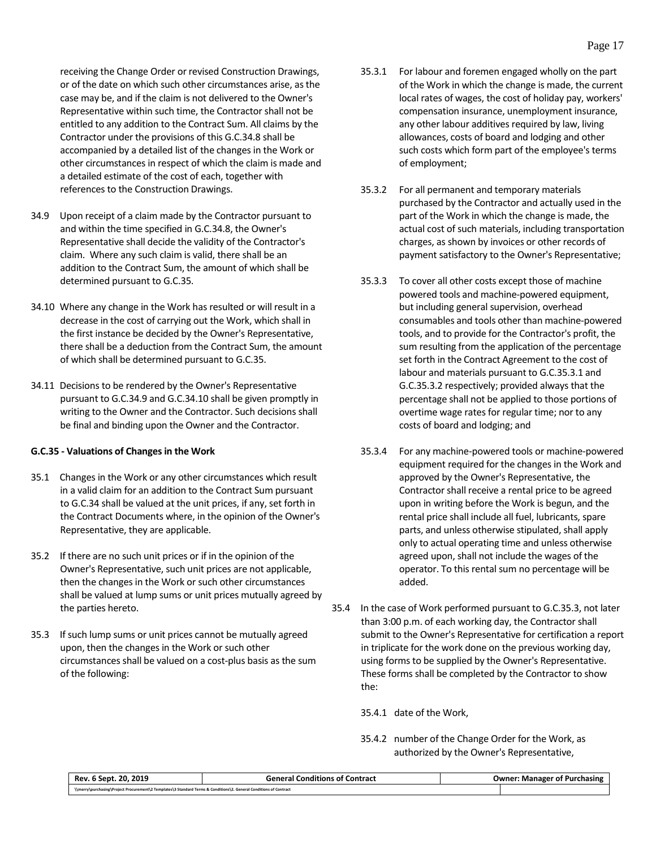receiving the Change Order or revised Construction Drawings, or of the date on which such other circumstances arise, as the case may be, and if the claim is not delivered to the Owner's Representative within such time, the Contractor shall not be entitled to any addition to the Contract Sum. All claims by the Contractor under the provisions of this G.C.34.8 shall be accompanied by a detailed list of the changes in the Work or other circumstances in respect of which the claim is made and a detailed estimate of the cost of each, together with references to the Construction Drawings.

- 34.9 Upon receipt of a claim made by the Contractor pursuant to and within the time specified in G.C.34.8, the Owner's Representative shall decide the validity of the Contractor's claim. Where any such claim is valid, there shall be an addition to the Contract Sum, the amount of which shall be determined pursuant to G.C.35.
- 34.10 Where any change in the Work has resulted or will result in a decrease in the cost of carrying out the Work, which shall in the first instance be decided by the Owner's Representative, there shall be a deduction from the Contract Sum, the amount of which shall be determined pursuant to G.C.35.
- 34.11 Decisions to be rendered by the Owner's Representative pursuant to G.C.34.9 and G.C.34.10 shall be given promptly in writing to the Owner and the Contractor. Such decisions shall be final and binding upon the Owner and the Contractor.

# <span id="page-20-0"></span>**G.C.35 - Valuations of Changes in the Work**

- 35.1 Changes in the Work or any other circumstances which result in a valid claim for an addition to the Contract Sum pursuant to G.C.34 shall be valued at the unit prices, if any, set forth in the Contract Documents where, in the opinion of the Owner's Representative, they are applicable.
- 35.2 If there are no such unit prices or if in the opinion of the Owner's Representative, such unit prices are not applicable, then the changes in the Work or such other circumstances shall be valued at lump sums or unit prices mutually agreed by the parties hereto.
- 35.3 If such lump sums or unit prices cannot be mutually agreed upon, then the changes in the Work or such other circumstances shall be valued on a cost-plus basis as the sum of the following:
- 35.3.1 For labour and foremen engaged wholly on the part of the Work in which the change is made, the current local rates of wages, the cost of holiday pay, workers' compensation insurance, unemployment insurance, any other labour additives required by law, living allowances, costs of board and lodging and other such costs which form part of the employee's terms of employment;
- 35.3.2 For all permanent and temporary materials purchased by the Contractor and actually used in the part of the Work in which the change is made, the actual cost of such materials, including transportation charges, as shown by invoices or other records of payment satisfactory to the Owner's Representative;
- 35.3.3 To cover all other costs except those of machine powered tools and machine-powered equipment, but including general supervision, overhead consumables and tools other than machine-powered tools, and to provide for the Contractor's profit, the sum resulting from the application of the percentage set forth in the Contract Agreement to the cost of labour and materials pursuant to G.C.35.3.1 and G.C.35.3.2 respectively; provided always that the percentage shall not be applied to those portions of overtime wage rates for regular time; nor to any costs of board and lodging; and
- 35.3.4 For any machine-powered tools or machine-powered equipment required for the changes in the Work and approved by the Owner's Representative, the Contractor shall receive a rental price to be agreed upon in writing before the Work is begun, and the rental price shall include all fuel, lubricants, spare parts, and unless otherwise stipulated, shall apply only to actual operating time and unless otherwise agreed upon, shall not include the wages of the operator. To this rental sum no percentage will be added.
- 35.4 In the case of Work performed pursuant to G.C.35.3, not later than 3:00 p.m. of each working day, the Contractor shall submit to the Owner's Representative for certification a report in triplicate for the work done on the previous working day, using forms to be supplied by the Owner's Representative. These forms shall be completed by the Contractor to show the:

35.4.1 date of the Work,

35.4.2 number of the Change Order for the Work, as authorized by the Owner's Representative,

| . 2019<br>-20.<br><b>Rev</b><br>Sept.                                                                              | <b>Contract</b><br><b>General</b> v<br>Londitions of $\hat{\ }$ | ::Jwner<br><sup>.</sup> Purchasing<br>: Manager<br>01 |
|--------------------------------------------------------------------------------------------------------------------|-----------------------------------------------------------------|-------------------------------------------------------|
| \\merry\purchasing\Project Procurement\2 Templates\3 Standard Terms & Conditions\2. General Conditions of Contract |                                                                 |                                                       |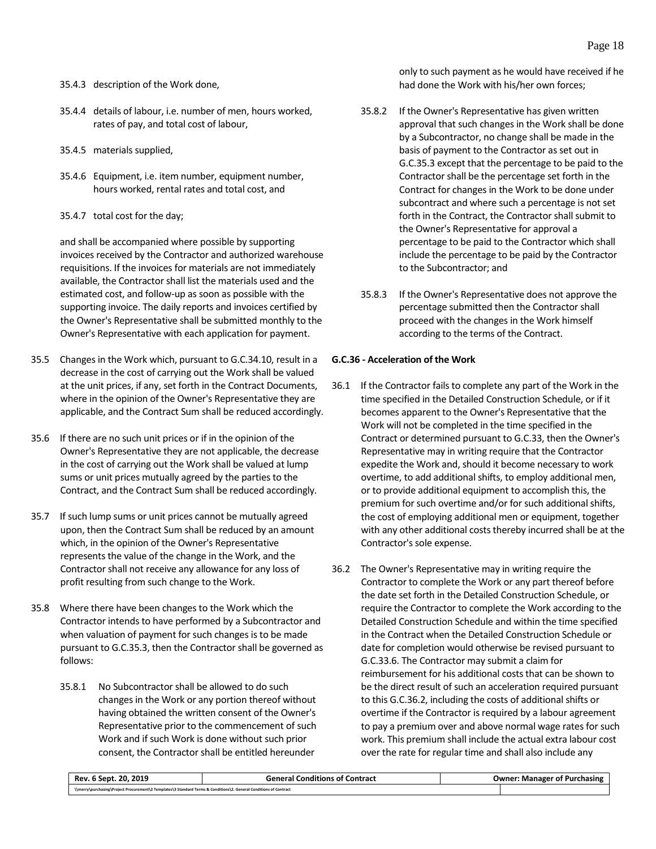- 35.4.3 description of the Work done,
- 35.4.4 details of labour, i.e. number of men, hours worked, rates of pay, and total cost of labour,
- 35.4.5 materials supplied,
- 35.4.6 Equipment, i.e. item number, equipment number, hours worked, rental rates and total cost, and
- 35.4.7 total cost for the day;

and shall be accompanied where possible by supporting invoices received by the Contractor and authorized warehouse requisitions. If the invoices for materials are not immediately available, the Contractor shall list the materials used and the estimated cost, and follow-up as soon as possible with the supporting invoice. The daily reports and invoices certified by the Owner's Representative shall be submitted monthly to the Owner's Representative with each application for payment.

- 35.5 Changes in the Work which, pursuant to G.C.34.10, result in a decrease in the cost of carrying out the Work shall be valued at the unit prices, if any, set forth in the Contract Documents, where in the opinion of the Owner's Representative they are applicable, and the Contract Sum shall be reduced accordingly.
- 35.6 If there are no such unit prices or if in the opinion of the Owner's Representative they are not applicable, the decrease in the cost of carrying out the Work shall be valued at lump sums or unit prices mutually agreed by the parties to the Contract, and the Contract Sum shall be reduced accordingly.
- 35.7 If such lump sums or unit prices cannot be mutually agreed upon, then the Contract Sum shall be reduced by an amount which, in the opinion of the Owner's Representative represents the value of the change in the Work, and the Contractor shall not receive any allowance for any loss of profit resulting from such change to the Work.
- 35.8 Where there have been changes to the Work which the Contractor intends to have performed by a Subcontractor and when valuation of payment for such changes is to be made pursuant to G.C.35.3, then the Contractor shall be governed as follows:
	- 35.8.1 No Subcontractor shall be allowed to do such changes in the Work or any portion thereof without having obtained the written consent of the Owner's Representative prior to the commencement of such Work and if such Work is done without such prior consent, the Contractor shall be entitled hereunder

only to such payment as he would have received if he had done the Work with his/her own forces;

- 35.8.2 If the Owner's Representative has given written approval that such changes in the Work shall be done by a Subcontractor, no change shall be made in the basis of payment to the Contractor as set out in G.C.35.3 except that the percentage to be paid to the Contractor shall be the percentage set forth in the Contract for changes in the Work to be done under subcontract and where such a percentage is not set forth in the Contract, the Contractor shall submit to the Owner's Representative for approval a percentage to be paid to the Contractor which shall include the percentage to be paid by the Contractor to the Subcontractor; and
- 35.8.3 If the Owner's Representative does not approve the percentage submitted then the Contractor shall proceed with the changes in the Work himself according to the terms of the Contract.

# <span id="page-21-0"></span>**G.C.36 - Acceleration of the Work**

- 36.1 If the Contractor fails to complete any part of the Work in the time specified in the Detailed Construction Schedule, or if it becomes apparent to the Owner's Representative that the Work will not be completed in the time specified in the Contract or determined pursuant to G.C.33, then the Owner's Representative may in writing require that the Contractor expedite the Work and, should it become necessary to work overtime, to add additional shifts, to employ additional men, or to provide additional equipment to accomplish this, the premium for such overtime and/or for such additional shifts, the cost of employing additional men or equipment, together with any other additional costs thereby incurred shall be at the Contractor's sole expense.
- 36.2 The Owner's Representative may in writing require the Contractor to complete the Work or any part thereof before the date set forth in the Detailed Construction Schedule, or require the Contractor to complete the Work according to the Detailed Construction Schedule and within the time specified in the Contract when the Detailed Construction Schedule or date for completion would otherwise be revised pursuant to G.C.33.6. The Contractor may submit a claim for reimbursement for his additional costs that can be shown to be the direct result of such an acceleration required pursuant to this G.C.36.2, including the costs of additional shifts or overtime if the Contractor is required by a labour agreement to pay a premium over and above normal wage rates for such work. This premium shall include the actual extra labour cost over the rate for regular time and shall also include any

| Rev. 6 Sept. 20. 2019                                                                                              | <b>General Conditions of Contract</b> | <b>Owner: Manager of Purchasing</b> |
|--------------------------------------------------------------------------------------------------------------------|---------------------------------------|-------------------------------------|
| \\merry\purchasing\Project Procurement\2 Templates\3 Standard Terms & Conditions\2. General Conditions of Contract |                                       |                                     |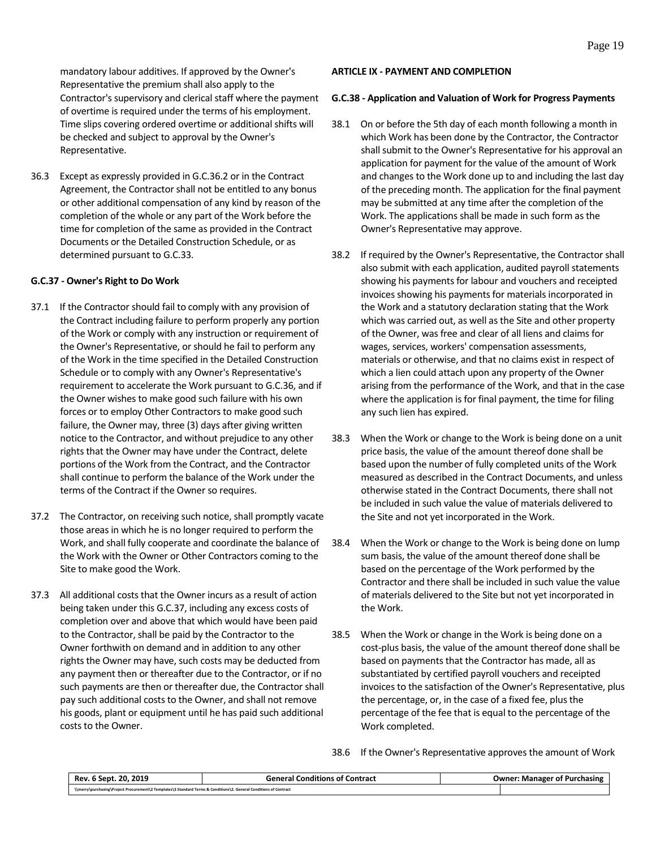mandatory labour additives. If approved by the Owner's Representative the premium shall also apply to the Contractor's supervisory and clerical staff where the payment of overtime is required under the terms of his employment. Time slips covering ordered overtime or additional shifts will be checked and subject to approval by the Owner's Representative.

36.3 Except as expressly provided in G.C.36.2 or in the Contract Agreement, the Contractor shall not be entitled to any bonus or other additional compensation of any kind by reason of the completion of the whole or any part of the Work before the time for completion of the same as provided in the Contract Documents or the Detailed Construction Schedule, or as determined pursuant to G.C.33.

# <span id="page-22-0"></span>**G.C.37 - Owner's Right to Do Work**

- 37.1 If the Contractor should fail to comply with any provision of the Contract including failure to perform properly any portion of the Work or comply with any instruction or requirement of the Owner's Representative, or should he fail to perform any of the Work in the time specified in the Detailed Construction Schedule or to comply with any Owner's Representative's requirement to accelerate the Work pursuant to G.C.36, and if the Owner wishes to make good such failure with his own forces or to employ Other Contractors to make good such failure, the Owner may, three (3) days after giving written notice to the Contractor, and without prejudice to any other rights that the Owner may have under the Contract, delete portions of the Work from the Contract, and the Contractor shall continue to perform the balance of the Work under the terms of the Contract if the Owner so requires.
- 37.2 The Contractor, on receiving such notice, shall promptly vacate those areas in which he is no longer required to perform the Work, and shall fully cooperate and coordinate the balance of the Work with the Owner or Other Contractors coming to the Site to make good the Work.
- 37.3 All additional costs that the Owner incurs as a result of action being taken under this G.C.37, including any excess costs of completion over and above that which would have been paid to the Contractor, shall be paid by the Contractor to the Owner forthwith on demand and in addition to any other rights the Owner may have, such costs may be deducted from any payment then or thereafter due to the Contractor, or if no such payments are then or thereafter due, the Contractor shall pay such additional costs to the Owner, and shall not remove his goods, plant or equipment until he has paid such additional costs to the Owner.

#### <span id="page-22-1"></span>**ARTICLE IX - PAYMENT AND COMPLETION**

#### <span id="page-22-2"></span>**G.C.38 - Application and Valuation of Work for Progress Payments**

- 38.1 On or before the 5th day of each month following a month in which Work has been done by the Contractor, the Contractor shall submit to the Owner's Representative for his approval an application for payment for the value of the amount of Work and changes to the Work done up to and including the last day of the preceding month. The application for the final payment may be submitted at any time after the completion of the Work. The applications shall be made in such form as the Owner's Representative may approve.
- 38.2 If required by the Owner's Representative, the Contractor shall also submit with each application, audited payroll statements showing his payments for labour and vouchers and receipted invoices showing his payments for materials incorporated in the Work and a statutory declaration stating that the Work which was carried out, as well as the Site and other property of the Owner, was free and clear of all liens and claims for wages, services, workers' compensation assessments, materials or otherwise, and that no claims exist in respect of which a lien could attach upon any property of the Owner arising from the performance of the Work, and that in the case where the application is for final payment, the time for filing any such lien has expired.
- 38.3 When the Work or change to the Work is being done on a unit price basis, the value of the amount thereof done shall be based upon the number of fully completed units of the Work measured as described in the Contract Documents, and unless otherwise stated in the Contract Documents, there shall not be included in such value the value of materials delivered to the Site and not yet incorporated in the Work.
- 38.4 When the Work or change to the Work is being done on lump sum basis, the value of the amount thereof done shall be based on the percentage of the Work performed by the Contractor and there shall be included in such value the value of materials delivered to the Site but not yet incorporated in the Work.
- 38.5 When the Work or change in the Work is being done on a cost-plus basis, the value of the amount thereof done shall be based on payments that the Contractor has made, all as substantiated by certified payroll vouchers and receipted invoices to the satisfaction of the Owner's Representative, plus the percentage, or, in the case of a fixed fee, plus the percentage of the fee that is equal to the percentage of the Work completed.
- 38.6 If the Owner's Representative approves the amount of Work

| 2019<br>20.<br>Sept<br>Rev                                                                                         | Contract<br>General Conditions of C | <b>Purchasing</b><br>Owner: Manager of |
|--------------------------------------------------------------------------------------------------------------------|-------------------------------------|----------------------------------------|
| \\merry\purchasing\Project Procurement\2 Templates\3 Standard Terms & Conditions\2. General Conditions of Contract |                                     |                                        |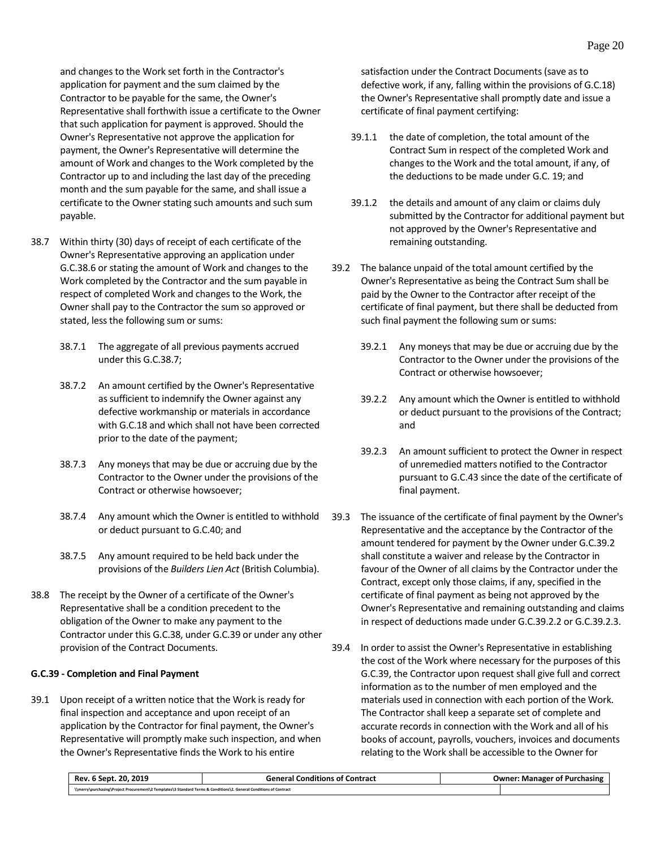and changes to the Work set forth in the Contractor's application for payment and the sum claimed by the Contractor to be payable for the same, the Owner's Representative shall forthwith issue a certificate to the Owner that such application for payment is approved. Should the Owner's Representative not approve the application for payment, the Owner's Representative will determine the amount of Work and changes to the Work completed by the Contractor up to and including the last day of the preceding month and the sum payable for the same, and shall issue a certificate to the Owner stating such amounts and such sum payable.

- 38.7 Within thirty (30) days of receipt of each certificate of the Owner's Representative approving an application under G.C.38.6 or stating the amount of Work and changes to the Work completed by the Contractor and the sum payable in respect of completed Work and changes to the Work, the Owner shall pay to the Contractor the sum so approved or stated, less the following sum or sums:
	- 38.7.1 The aggregate of all previous payments accrued under this G.C.38.7;
	- 38.7.2 An amount certified by the Owner's Representative as sufficient to indemnify the Owner against any defective workmanship or materials in accordance with G.C.18 and which shall not have been corrected prior to the date of the payment;
	- 38.7.3 Any moneysthat may be due or accruing due by the Contractor to the Owner under the provisions of the Contract or otherwise howsoever;
	- 38.7.4 Any amount which the Owner is entitled to withhold or deduct pursuant to G.C.40; and
	- 38.7.5 Any amount required to be held back under the provisions of the *Builders Lien Act* (British Columbia).
- 38.8 The receipt by the Owner of a certificate of the Owner's Representative shall be a condition precedent to the obligation of the Owner to make any payment to the Contractor under this G.C.38, under G.C.39 or under any other provision of the Contract Documents.

#### <span id="page-23-0"></span>**G.C.39 - Completion and Final Payment**

39.1 Upon receipt of a written notice that the Work is ready for final inspection and acceptance and upon receipt of an application by the Contractor for final payment, the Owner's Representative will promptly make such inspection, and when the Owner's Representative finds the Work to his entire

satisfaction under the Contract Documents (save as to defective work, if any, falling within the provisions of G.C.18) the Owner's Representative shall promptly date and issue a certificate of final payment certifying:

- 39.1.1 the date of completion, the total amount of the Contract Sum in respect of the completed Work and changes to the Work and the total amount, if any, of the deductions to be made under G.C. 19; and
- 39.1.2 the details and amount of any claim or claims duly submitted by the Contractor for additional payment but not approved by the Owner's Representative and remaining outstanding.
- 39.2 The balance unpaid of the total amount certified by the Owner's Representative as being the Contract Sum shall be paid by the Owner to the Contractor after receipt of the certificate of final payment, but there shall be deducted from such final payment the following sum or sums:
	- 39.2.1 Any moneys that may be due or accruing due by the Contractor to the Owner under the provisions of the Contract or otherwise howsoever;
	- 39.2.2 Any amount which the Owner is entitled to withhold or deduct pursuant to the provisions of the Contract; and
	- 39.2.3 An amount sufficient to protect the Owner in respect of unremedied matters notified to the Contractor pursuant to G.C.43 since the date of the certificate of final payment.
- 39.3 The issuance of the certificate of final payment by the Owner's Representative and the acceptance by the Contractor of the amount tendered for payment by the Owner under G.C.39.2 shall constitute a waiver and release by the Contractor in favour of the Owner of all claims by the Contractor under the Contract, except only those claims, if any, specified in the certificate of final payment as being not approved by the Owner's Representative and remaining outstanding and claims in respect of deductions made under G.C.39.2.2 or G.C.39.2.3.
- 39.4 In order to assist the Owner's Representative in establishing the cost of the Work where necessary for the purposes of this G.C.39, the Contractor upon request shall give full and correct information as to the number of men employed and the materials used in connection with each portion of the Work. The Contractor shall keep a separate set of complete and accurate records in connection with the Work and all of his books of account, payrolls, vouchers, invoices and documents relating to the Work shall be accessible to the Owner for

| Rev. 6 Sept. 20. 2019                                                                                              | <b>General Conditions of Contract</b> | <b>Owner: Manager of Purchasing</b> |
|--------------------------------------------------------------------------------------------------------------------|---------------------------------------|-------------------------------------|
| \\merry\purchasing\Project Procurement\2 Templates\3 Standard Terms & Conditions\2. General Conditions of Contract |                                       |                                     |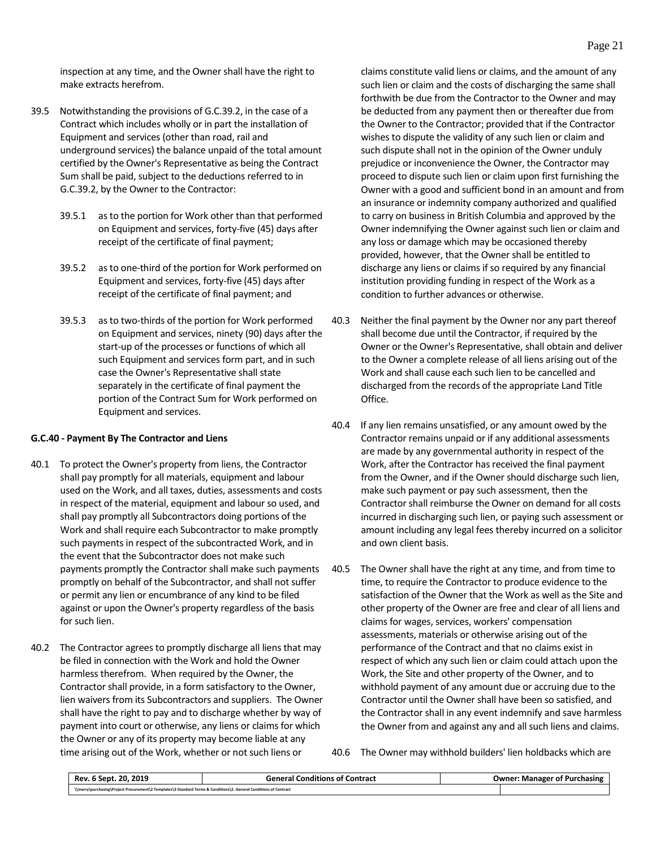inspection at any time, and the Owner shall have the right to make extracts herefrom.

- 39.5 Notwithstanding the provisions of G.C.39.2, in the case of a Contract which includes wholly or in part the installation of Equipment and services (other than road, rail and underground services) the balance unpaid of the total amount certified by the Owner's Representative as being the Contract Sum shall be paid, subject to the deductions referred to in G.C.39.2, by the Owner to the Contractor:
	- 39.5.1 as to the portion for Work other than that performed on Equipment and services, forty-five (45) days after receipt of the certificate of final payment;
	- 39.5.2 as to one-third of the portion for Work performed on Equipment and services, forty-five (45) days after receipt of the certificate of final payment; and
	- 39.5.3 as to two-thirds of the portion for Work performed on Equipment and services, ninety (90) days after the start-up of the processes or functions of which all such Equipment and services form part, and in such case the Owner's Representative shall state separately in the certificate of final payment the portion of the Contract Sum for Work performed on Equipment and services.

#### <span id="page-24-0"></span>**G.C.40 - Payment By The Contractor and Liens**

- 40.1 To protect the Owner's property from liens, the Contractor shall pay promptly for all materials, equipment and labour used on the Work, and all taxes, duties, assessments and costs in respect of the material, equipment and labour so used, and shall pay promptly all Subcontractors doing portions of the Work and shall require each Subcontractor to make promptly such payments in respect of the subcontracted Work, and in the event that the Subcontractor does not make such payments promptly the Contractor shall make such payments promptly on behalf of the Subcontractor, and shall not suffer or permit any lien or encumbrance of any kind to be filed against or upon the Owner's property regardless of the basis for such lien.
- 40.2 The Contractor agrees to promptly discharge all liens that may be filed in connection with the Work and hold the Owner harmless therefrom. When required by the Owner, the Contractor shall provide, in a form satisfactory to the Owner, lien waivers from its Subcontractors and suppliers. The Owner shall have the right to pay and to discharge whether by way of payment into court or otherwise, any liens or claims for which the Owner or any of its property may become liable at any time arising out of the Work, whether or not such liens or

claims constitute valid liens or claims, and the amount of any such lien or claim and the costs of discharging the same shall forthwith be due from the Contractor to the Owner and may be deducted from any payment then or thereafter due from the Owner to the Contractor; provided that if the Contractor wishes to dispute the validity of any such lien or claim and such dispute shall not in the opinion of the Owner unduly prejudice or inconvenience the Owner, the Contractor may proceed to dispute such lien or claim upon first furnishing the Owner with a good and sufficient bond in an amount and from an insurance or indemnity company authorized and qualified to carry on business in British Columbia and approved by the Owner indemnifying the Owner against such lien or claim and any loss or damage which may be occasioned thereby provided, however, that the Owner shall be entitled to discharge any liens or claims if so required by any financial institution providing funding in respect of the Work as a condition to further advances or otherwise.

- 40.3 Neither the final payment by the Owner nor any part thereof shall become due until the Contractor, if required by the Owner or the Owner's Representative, shall obtain and deliver to the Owner a complete release of all liens arising out of the Work and shall cause each such lien to be cancelled and discharged from the records of the appropriate Land Title Office.
- 40.4 If any lien remains unsatisfied, or any amount owed by the Contractor remains unpaid or if any additional assessments are made by any governmental authority in respect of the Work, after the Contractor has received the final payment from the Owner, and if the Owner should discharge such lien, make such payment or pay such assessment, then the Contractor shall reimburse the Owner on demand for all costs incurred in discharging such lien, or paying such assessment or amount including any legal fees thereby incurred on a solicitor and own client basis.
- 40.5 The Owner shall have the right at any time, and from time to time, to require the Contractor to produce evidence to the satisfaction of the Owner that the Work as well as the Site and other property of the Owner are free and clear of all liens and claims for wages, services, workers' compensation assessments, materials or otherwise arising out of the performance of the Contract and that no claims exist in respect of which any such lien or claim could attach upon the Work, the Site and other property of the Owner, and to withhold payment of any amount due or accruing due to the Contractor until the Owner shall have been so satisfied, and the Contractor shall in any event indemnify and save harmless the Owner from and against any and all such liens and claims.

40.6 The Owner may withhold builders' lien holdbacks which are

| 2019<br>20.<br><b>Sept</b><br>Rev.                                                                                 | <b>General Conditions of Contract</b> | Owner:<br>Purchasing<br>: Manager of |
|--------------------------------------------------------------------------------------------------------------------|---------------------------------------|--------------------------------------|
| \\merry\purchasing\Project Procurement\2 Templates\3 Standard Terms & Conditions\2. General Conditions of Contract |                                       |                                      |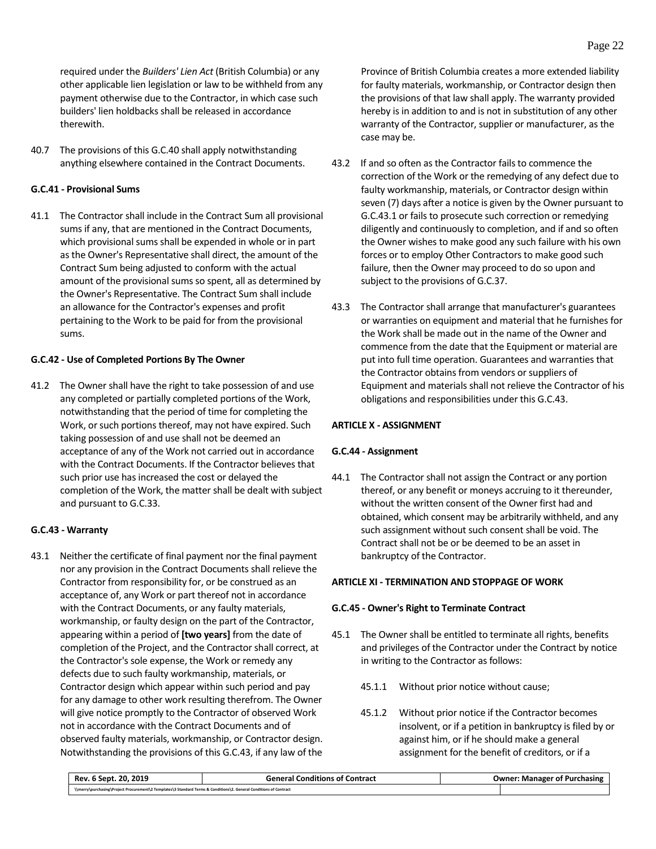required under the *Builders' Lien Act* (British Columbia) or any other applicable lien legislation or law to be withheld from any payment otherwise due to the Contractor, in which case such builders' lien holdbacks shall be released in accordance therewith.

40.7 The provisions of this G.C.40 shall apply notwithstanding anything elsewhere contained in the Contract Documents.

# <span id="page-25-0"></span>**G.C.41 - Provisional Sums**

41.1 The Contractor shall include in the Contract Sum all provisional sums if any, that are mentioned in the Contract Documents, which provisional sums shall be expended in whole or in part as the Owner's Representative shall direct, the amount of the Contract Sum being adjusted to conform with the actual amount of the provisional sums so spent, all as determined by the Owner's Representative. The Contract Sum shall include an allowance for the Contractor's expenses and profit pertaining to the Work to be paid for from the provisional sums.

# <span id="page-25-1"></span>**G.C.42 - Use of Completed Portions By The Owner**

41.2 The Owner shall have the right to take possession of and use any completed or partially completed portions of the Work, notwithstanding that the period of time for completing the Work, or such portions thereof, may not have expired. Such taking possession of and use shall not be deemed an acceptance of any of the Work not carried out in accordance with the Contract Documents. If the Contractor believes that such prior use has increased the cost or delayed the completion of the Work, the matter shall be dealt with subject and pursuant to G.C.33.

# <span id="page-25-2"></span>**G.C.43 - Warranty**

43.1 Neither the certificate of final payment nor the final payment nor any provision in the Contract Documents shall relieve the Contractor from responsibility for, or be construed as an acceptance of, any Work or part thereof not in accordance with the Contract Documents, or any faulty materials, workmanship, or faulty design on the part of the Contractor, appearing within a period of **[two years]** from the date of completion of the Project, and the Contractor shall correct, at the Contractor's sole expense, the Work or remedy any defects due to such faulty workmanship, materials, or Contractor design which appear within such period and pay for any damage to other work resulting therefrom. The Owner will give notice promptly to the Contractor of observed Work not in accordance with the Contract Documents and of observed faulty materials, workmanship, or Contractor design. Notwithstanding the provisions of this G.C.43, if any law of the Province of British Columbia creates a more extended liability for faulty materials, workmanship, or Contractor design then the provisions of that law shall apply. The warranty provided hereby is in addition to and is not in substitution of any other warranty of the Contractor, supplier or manufacturer, as the case may be.

- 43.2 If and so often as the Contractor fails to commence the correction of the Work or the remedying of any defect due to faulty workmanship, materials, or Contractor design within seven (7) days after a notice is given by the Owner pursuant to G.C.43.1 or fails to prosecute such correction or remedying diligently and continuously to completion, and if and so often the Owner wishes to make good any such failure with his own forces or to employ Other Contractors to make good such failure, then the Owner may proceed to do so upon and subject to the provisions of G.C.37.
- 43.3 The Contractor shall arrange that manufacturer's guarantees or warranties on equipment and material that he furnishes for the Work shall be made out in the name of the Owner and commence from the date that the Equipment or material are put into full time operation. Guarantees and warranties that the Contractor obtains from vendors or suppliers of Equipment and materials shall not relieve the Contractor of his obligations and responsibilities under this G.C.43.

# <span id="page-25-3"></span>**ARTICLE X - ASSIGNMENT**

# <span id="page-25-4"></span>**G.C.44 - Assignment**

44.1 The Contractor shall not assign the Contract or any portion thereof, or any benefit or moneys accruing to it thereunder, without the written consent of the Owner first had and obtained, which consent may be arbitrarily withheld, and any such assignment without such consent shall be void. The Contract shall not be or be deemed to be an asset in bankruptcy of the Contractor.

# <span id="page-25-5"></span>**ARTICLE XI - TERMINATION AND STOPPAGE OF WORK**

# <span id="page-25-6"></span>**G.C.45 - Owner's Right to Terminate Contract**

- 45.1 The Owner shall be entitled to terminate all rights, benefits and privileges of the Contractor under the Contract by notice in writing to the Contractor as follows:
	- 45.1.1 Without prior notice without cause;
	- 45.1.2 Without prior notice if the Contractor becomes insolvent, or if a petition in bankruptcy is filed by or against him, or if he should make a general assignment for the benefit of creditors, or if a

| Rev. 6 Sept. 20, 2019                                                                                              | <b>General Conditions of Contract</b> | <b>Owner: Manager of Purchasing</b> |
|--------------------------------------------------------------------------------------------------------------------|---------------------------------------|-------------------------------------|
| \\merry\purchasing\Project Procurement\2 Templates\3 Standard Terms & Conditions\2. General Conditions of Contract |                                       |                                     |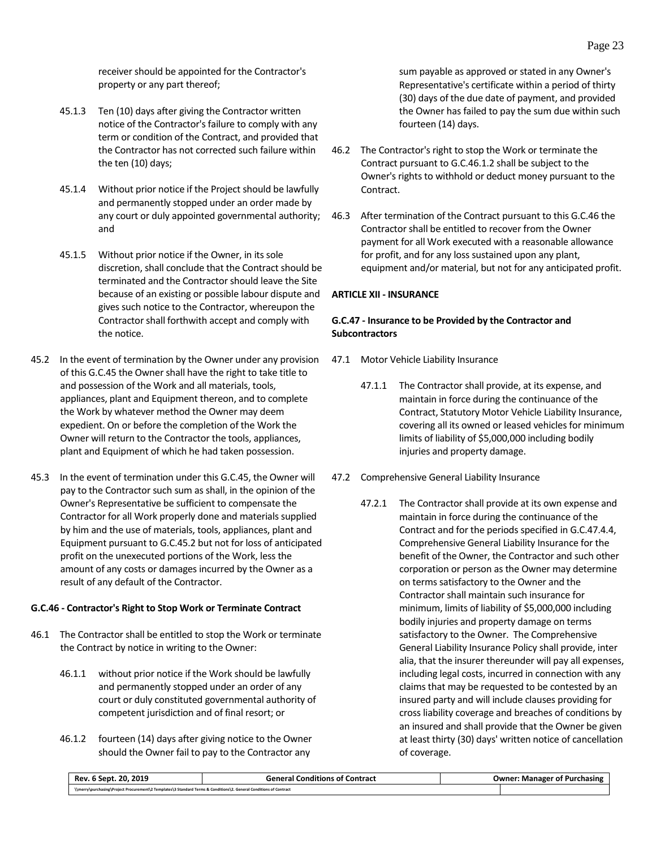receiver should be appointed for the Contractor's property or any part thereof;

- 45.1.3 Ten (10) days after giving the Contractor written notice of the Contractor's failure to comply with any term or condition of the Contract, and provided that the Contractor has not corrected such failure within the ten (10) days;
- 45.1.4 Without prior notice if the Project should be lawfully and permanently stopped under an order made by any court or duly appointed governmental authority; and
- 45.1.5 Without prior notice if the Owner, in its sole discretion, shall conclude that the Contract should be terminated and the Contractor should leave the Site because of an existing or possible labour dispute and gives such notice to the Contractor, whereupon the Contractor shall forthwith accept and comply with the notice.
- 45.2 In the event of termination by the Owner under any provision of this G.C.45 the Owner shall have the right to take title to and possession of the Work and all materials, tools, appliances, plant and Equipment thereon, and to complete the Work by whatever method the Owner may deem expedient. On or before the completion of the Work the Owner will return to the Contractor the tools, appliances, plant and Equipment of which he had taken possession.
- 45.3 In the event of termination under this G.C.45, the Owner will pay to the Contractor such sum as shall, in the opinion of the Owner's Representative be sufficient to compensate the Contractor for all Work properly done and materials supplied by him and the use of materials, tools, appliances, plant and Equipment pursuant to G.C.45.2 but not for loss of anticipated profit on the unexecuted portions of the Work, less the amount of any costs or damages incurred by the Owner as a result of any default of the Contractor.

# <span id="page-26-0"></span>**G.C.46 - Contractor's Right to Stop Work or Terminate Contract**

- 46.1 The Contractor shall be entitled to stop the Work or terminate the Contract by notice in writing to the Owner:
	- 46.1.1 without prior notice if the Work should be lawfully and permanently stopped under an order of any court or duly constituted governmental authority of competent jurisdiction and of final resort; or
	- 46.1.2 fourteen (14) days after giving notice to the Owner should the Owner fail to pay to the Contractor any

sum payable as approved or stated in any Owner's Representative's certificate within a period of thirty (30) days of the due date of payment, and provided the Owner has failed to pay the sum due within such fourteen (14) days.

- 46.2 The Contractor's right to stop the Work or terminate the Contract pursuant to G.C.46.1.2 shall be subject to the Owner's rights to withhold or deduct money pursuant to the Contract.
- 46.3 After termination of the Contract pursuant to this G.C.46 the Contractor shall be entitled to recover from the Owner payment for all Work executed with a reasonable allowance for profit, and for any loss sustained upon any plant, equipment and/or material, but not for any anticipated profit.

#### <span id="page-26-1"></span>**ARTICLE XII - INSURANCE**

# <span id="page-26-2"></span>**G.C.47 - Insurance to be Provided by the Contractor and Subcontractors**

- 47.1 Motor Vehicle Liability Insurance
	- 47.1.1 The Contractor shall provide, at its expense, and maintain in force during the continuance of the Contract, Statutory Motor Vehicle Liability Insurance, covering all its owned or leased vehicles for minimum limits of liability of \$5,000,000 including bodily injuries and property damage.
- 47.2 Comprehensive General Liability Insurance
	- 47.2.1 The Contractor shall provide at its own expense and maintain in force during the continuance of the Contract and for the periods specified in G.C.47.4.4, Comprehensive General Liability Insurance for the benefit of the Owner, the Contractor and such other corporation or person as the Owner may determine on terms satisfactory to the Owner and the Contractor shall maintain such insurance for minimum, limits of liability of \$5,000,000 including bodily injuries and property damage on terms satisfactory to the Owner. The Comprehensive General Liability Insurance Policy shall provide, inter alia, that the insurer thereunder will pay all expenses, including legal costs, incurred in connection with any claims that may be requested to be contested by an insured party and will include clauses providing for cross liability coverage and breaches of conditions by an insured and shall provide that the Owner be given at least thirty (30) days' written notice of cancellation of coverage.

| Rev. 6 Sept. 20, 2019                                                                                              | <b>General Conditions of Contract</b> | <b>Owner: Manager of Purchasing</b> |
|--------------------------------------------------------------------------------------------------------------------|---------------------------------------|-------------------------------------|
| \\merry\purchasing\Project Procurement\2 Templates\3 Standard Terms & Conditions\2. General Conditions of Contract |                                       |                                     |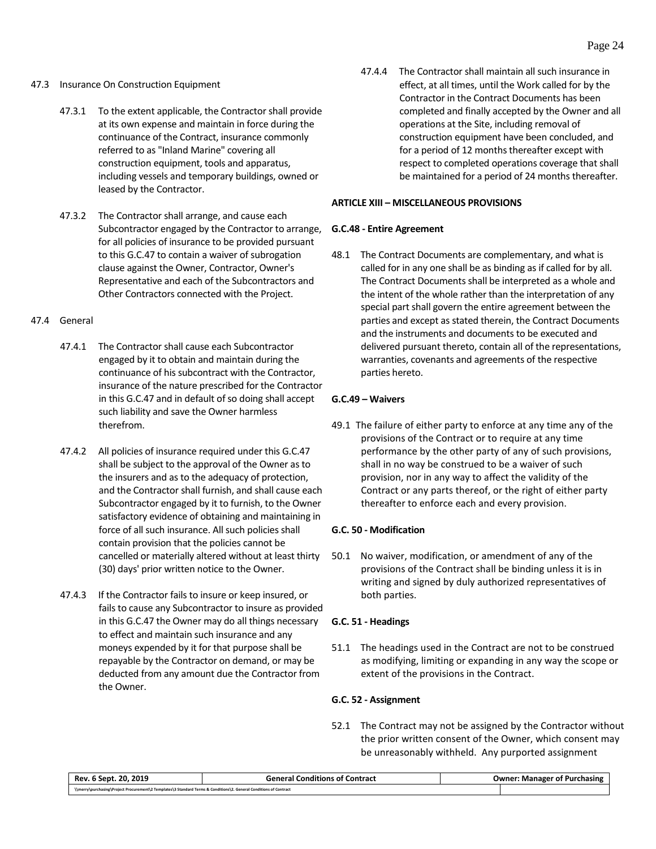- 47.3 Insurance On Construction Equipment
	- 47.3.1 To the extent applicable, the Contractor shall provide at its own expense and maintain in force during the continuance of the Contract, insurance commonly referred to as "Inland Marine" covering all construction equipment, tools and apparatus, including vessels and temporary buildings, owned or leased by the Contractor.
	- 47.3.2 The Contractor shall arrange, and cause each Subcontractor engaged by the Contractor to arrange, for all policies of insurance to be provided pursuant to this G.C.47 to contain a waiver of subrogation clause against the Owner, Contractor, Owner's Representative and each of the Subcontractors and Other Contractors connected with the Project.

#### 47.4 General

- 47.4.1 The Contractor shall cause each Subcontractor engaged by it to obtain and maintain during the continuance of his subcontract with the Contractor, insurance of the nature prescribed for the Contractor in this G.C.47 and in default of so doing shall accept such liability and save the Owner harmless therefrom.
- 47.4.2 All policies of insurance required under this G.C.47 shall be subject to the approval of the Owner as to the insurers and as to the adequacy of protection, and the Contractor shall furnish, and shall cause each Subcontractor engaged by it to furnish, to the Owner satisfactory evidence of obtaining and maintaining in force of all such insurance. All such policies shall contain provision that the policies cannot be cancelled or materially altered without at least thirty (30) days' prior written notice to the Owner.
- 47.4.3 If the Contractor fails to insure or keep insured, or fails to cause any Subcontractor to insure as provided in this G.C.47 the Owner may do all things necessary to effect and maintain such insurance and any moneys expended by it for that purpose shall be repayable by the Contractor on demand, or may be deducted from any amount due the Contractor from the Owner.

47.4.4 The Contractor shall maintain all such insurance in effect, at all times, until the Work called for by the Contractor in the Contract Documents has been completed and finally accepted by the Owner and all operations at the Site, including removal of construction equipment have been concluded, and for a period of 12 months thereafter except with respect to completed operations coverage that shall be maintained for a period of 24 months thereafter.

# <span id="page-27-0"></span>**ARTICLE XIII – MISCELLANEOUS PROVISIONS**

#### <span id="page-27-1"></span>**G.C.48 - Entire Agreement**

48.1 The Contract Documents are complementary, and what is called for in any one shall be as binding as if called for by all. The Contract Documents shall be interpreted as a whole and the intent of the whole rather than the interpretation of any special part shall govern the entire agreement between the parties and except as stated therein, the Contract Documents and the instruments and documents to be executed and delivered pursuant thereto, contain all of the representations, warranties, covenants and agreements of the respective parties hereto.

# <span id="page-27-2"></span>**G.C.49 – Waivers**

49.1 The failure of either party to enforce at any time any of the provisions of the Contract or to require at any time performance by the other party of any of such provisions, shall in no way be construed to be a waiver of such provision, nor in any way to affect the validity of the Contract or any parts thereof, or the right of either party thereafter to enforce each and every provision.

# <span id="page-27-3"></span>**G.C. 50 - Modification**

50.1 No waiver, modification, or amendment of any of the provisions of the Contract shall be binding unless it is in writing and signed by duly authorized representatives of both parties.

# <span id="page-27-4"></span>**G.C. 51 - Headings**

51.1 The headings used in the Contract are not to be construed as modifying, limiting or expanding in any way the scope or extent of the provisions in the Contract.

# <span id="page-27-5"></span>**G.C. 52 - Assignment**

52.1 The Contract may not be assigned by the Contractor without the prior written consent of the Owner, which consent may be unreasonably withheld. Any purported assignment

| 20.2019<br>Rev.<br>Sept                                                                                            | l Conditions of Contract<br>General | : Manager of Purchasing<br>Owner: |
|--------------------------------------------------------------------------------------------------------------------|-------------------------------------|-----------------------------------|
| \\merry\purchasing\Project Procurement\2 Templates\3 Standard Terms & Conditions\2. General Conditions of Contract |                                     |                                   |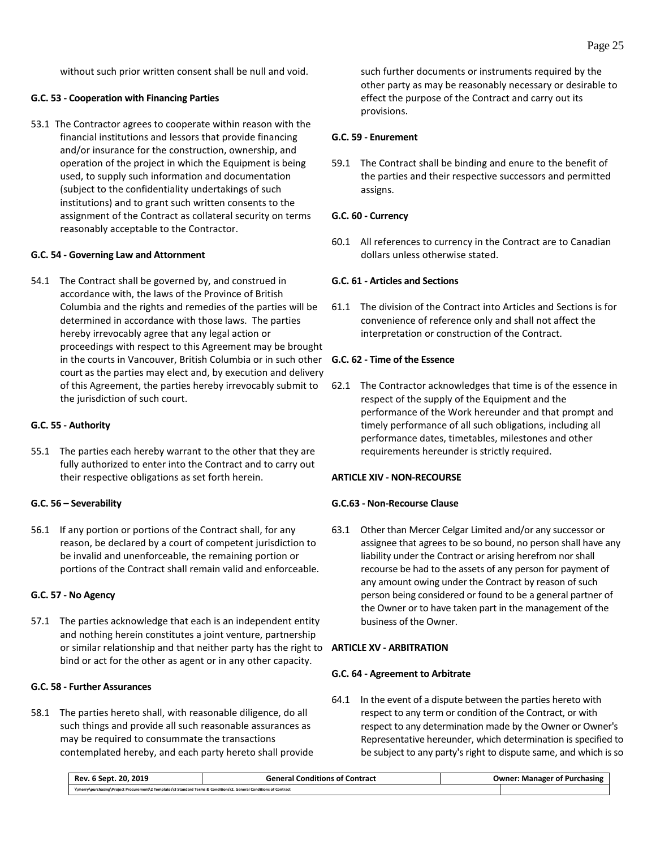without such prior written consent shall be null and void.

# <span id="page-28-0"></span>**G.C. 53 - Cooperation with Financing Parties**

53.1 The Contractor agrees to cooperate within reason with the financial institutions and lessors that provide financing and/or insurance for the construction, ownership, and operation of the project in which the Equipment is being used, to supply such information and documentation (subject to the confidentiality undertakings of such institutions) and to grant such written consents to the assignment of the Contract as collateral security on terms reasonably acceptable to the Contractor.

# <span id="page-28-1"></span>**G.C. 54 - Governing Law and Attornment**

54.1 The Contract shall be governed by, and construed in accordance with, the laws of the Province of British Columbia and the rights and remedies of the parties will be determined in accordance with those laws. The parties hereby irrevocably agree that any legal action or proceedings with respect to this Agreement may be brought in the courts in Vancouver, British Columbia or in such other **G.C. 62 - Time of the Essence** court as the parties may elect and, by execution and delivery of this Agreement, the parties hereby irrevocably submit to the jurisdiction of such court.

# <span id="page-28-2"></span>**G.C. 55 - Authority**

55.1 The parties each hereby warrant to the other that they are fully authorized to enter into the Contract and to carry out their respective obligations as set forth herein.

# <span id="page-28-3"></span>**G.C. 56 – Severability**

56.1 If any portion or portions of the Contract shall, for any reason, be declared by a court of competent jurisdiction to be invalid and unenforceable, the remaining portion or portions of the Contract shall remain valid and enforceable.

# <span id="page-28-4"></span>**G.C. 57 - No Agency**

57.1 The parties acknowledge that each is an independent entity and nothing herein constitutes a joint venture, partnership or similar relationship and that neither party has the right to **ARTICLE XV - ARBITRATION** bind or act for the other as agent or in any other capacity.

# <span id="page-28-5"></span>**G.C. 58 - Further Assurances**

58.1 The parties hereto shall, with reasonable diligence, do all such things and provide all such reasonable assurances as may be required to consummate the transactions contemplated hereby, and each party hereto shall provide such further documents or instruments required by the other party as may be reasonably necessary or desirable to effect the purpose of the Contract and carry out its provisions.

# <span id="page-28-6"></span>**G.C. 59 - Enurement**

59.1 The Contract shall be binding and enure to the benefit of the parties and their respective successors and permitted assigns.

# <span id="page-28-7"></span>**G.C. 60 - Currency**

60.1 All references to currency in the Contract are to Canadian dollars unless otherwise stated.

# <span id="page-28-8"></span>**G.C. 61 - Articles and Sections**

61.1 The division of the Contract into Articles and Sections is for convenience of reference only and shall not affect the interpretation or construction of the Contract.

<span id="page-28-9"></span>62.1 The Contractor acknowledges that time is of the essence in respect of the supply of the Equipment and the performance of the Work hereunder and that prompt and timely performance of all such obligations, including all performance dates, timetables, milestones and other requirements hereunder is strictly required.

# <span id="page-28-10"></span>**ARTICLE XIV - NON-RECOURSE**

# <span id="page-28-11"></span>**G.C.63 - Non-Recourse Clause**

63.1 Other than Mercer Celgar Limited and/or any successor or assignee that agrees to be so bound, no person shall have any liability under the Contract or arising herefrom nor shall recourse be had to the assets of any person for payment of any amount owing under the Contract by reason of such person being considered or found to be a general partner of the Owner or to have taken part in the management of the business of the Owner.

# <span id="page-28-13"></span><span id="page-28-12"></span>**G.C. 64 - Agreement to Arbitrate**

64.1 In the event of a dispute between the parties hereto with respect to any term or condition of the Contract, or with respect to any determination made by the Owner or Owner's Representative hereunder, which determination is specified to be subject to any party's right to dispute same, and which is so

| 20.2019<br>Rev.<br>6 Sept.                                                                                         | General Conditions of Contract | <b>Owner: Manager of Purchasing</b> |
|--------------------------------------------------------------------------------------------------------------------|--------------------------------|-------------------------------------|
| \\merry\purchasing\Project Procurement\2 Templates\3 Standard Terms & Conditions\2. General Conditions of Contract |                                |                                     |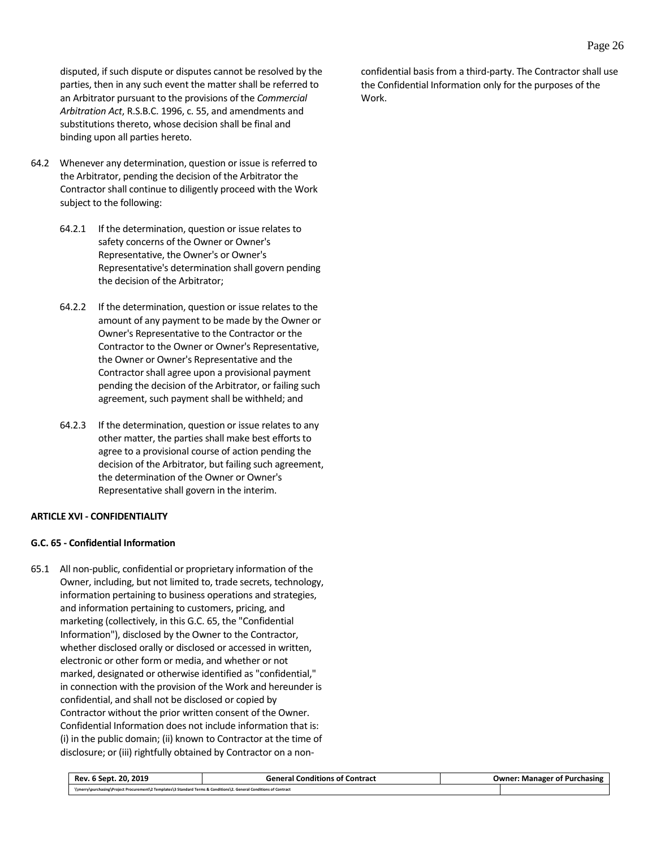disputed, if such dispute or disputes cannot be resolved by the parties, then in any such event the matter shall be referred to an Arbitrator pursuant to the provisions of the *Commercial Arbitration Act*, R.S.B.C. 1996, c. 55, and amendments and substitutions thereto, whose decision shall be final and binding upon all parties hereto.

- 64.2 Whenever any determination, question or issue is referred to the Arbitrator, pending the decision of the Arbitrator the Contractor shall continue to diligently proceed with the Work subject to the following:
	- 64.2.1 If the determination, question or issue relates to safety concerns of the Owner or Owner's Representative, the Owner's or Owner's Representative's determination shall govern pending the decision of the Arbitrator;
	- 64.2.2 If the determination, question or issue relates to the amount of any payment to be made by the Owner or Owner's Representative to the Contractor or the Contractor to the Owner or Owner's Representative, the Owner or Owner's Representative and the Contractor shall agree upon a provisional payment pending the decision of the Arbitrator, or failing such agreement, such payment shall be withheld; and
	- 64.2.3 If the determination, question or issue relates to any other matter, the parties shall make best efforts to agree to a provisional course of action pending the decision of the Arbitrator, but failing such agreement, the determination of the Owner or Owner's Representative shall govern in the interim.

# <span id="page-29-0"></span>**ARTICLE XVI - CONFIDENTIALITY**

#### <span id="page-29-1"></span>**G.C. 65 - Confidential Information**

65.1 All non-public, confidential or proprietary information of the Owner, including, but not limited to, trade secrets, technology, information pertaining to business operations and strategies, and information pertaining to customers, pricing, and marketing (collectively, in this G.C. 65, the "Confidential Information"), disclosed by the Owner to the Contractor, whether disclosed orally or disclosed or accessed in written, electronic or other form or media, and whether or not marked, designated or otherwise identified as "confidential," in connection with the provision of the Work and hereunder is confidential, and shall not be disclosed or copied by Contractor without the prior written consent of the Owner. Confidential Information does not include information that is: (i) in the public domain; (ii) known to Contractor at the time of disclosure; or (iii) rightfully obtained by Contractor on a non-

| Rev. 6 Sept. 20, 2019                                                                                              | <b>General Conditions of Contract</b> | <b>Owner: Manager of Purchasing</b> |
|--------------------------------------------------------------------------------------------------------------------|---------------------------------------|-------------------------------------|
| \\merry\purchasing\Project Procurement\2 Templates\3 Standard Terms & Conditions\2. General Conditions of Contract |                                       |                                     |

confidential basis from a third-party. The Contractor shall use the Confidential Information only for the purposes of the Work.